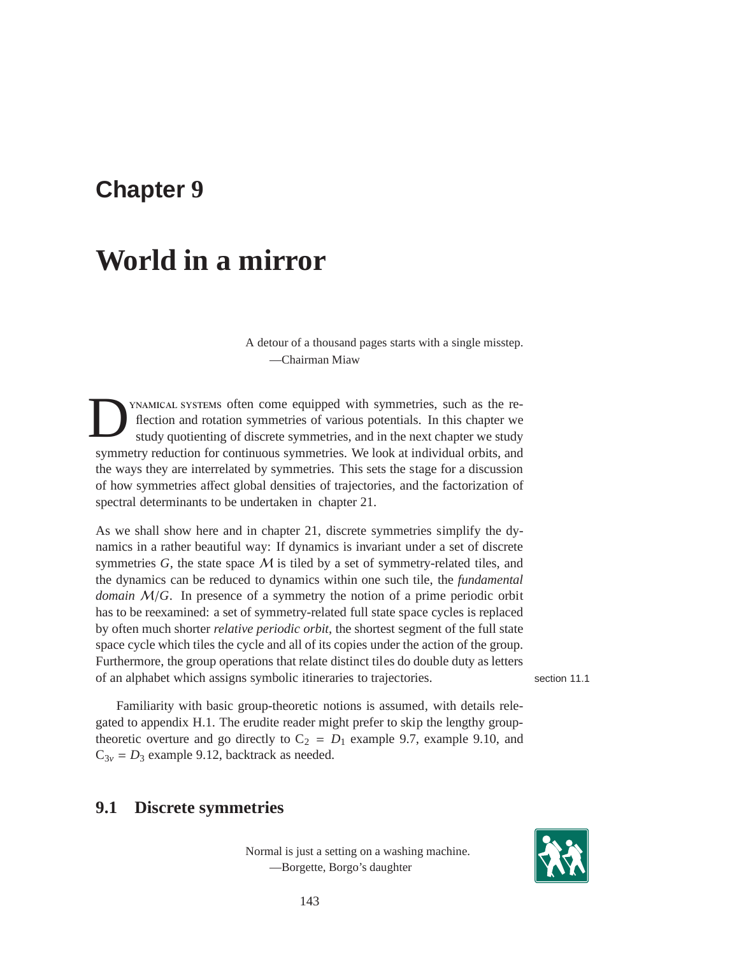## **Chapter 9**

# **World in a mirror**

A detour of a thousand pages starts with a single misstep. —Chairman Miaw

D YNAMICAL SYSTEMS often come equipped with symmetries, such as the reflection and rotation symmetries of various potentials. In this chapter we study quotienting of discrete symmetries, and in the next chapter we study symmetry reduction for continuous symmetries. We look at individual orbits, and the ways they are interrelated by symmetries. This sets the stage for a discussion of how symmetries affect global densities of trajectories, and the factorization of spectral determinants to be undertaken in chapter 21.

As we shall show here and in chapter 21, discrete symmetries simplify the dynamics in a rather beautiful way: If dynamics is invariant under a set of discrete symmetries  $G$ , the state space  $M$  is tiled by a set of symmetry-related tiles, and the dynamics can be reduced to dynamics within one such tile, the *fundamental domain* M/*G*. In presence of a symmetry the notion of a prime periodic orbit has to be reexamined: a set of symmetry-related full state space cycles is replaced by often much shorter *relative periodic orbit*, the shortest segment of the full state space cycle which tiles the cycle and all of its copies under the action of the group. Furthermore, the group operations that relate distinct tiles do double duty as letters of an alphabet which assigns symbolic itineraries to trajectories. section 11.1

Familiarity with basic group-theoretic notions is assumed, with details relegated to appendix H.1. The erudite reader might prefer to skip the lengthy grouptheoretic overture and go directly to  $C_2 = D_1$  example 9.7, example 9.10, and  $C_{3v} = D_3$  example 9.12, backtrack as needed.

## **9.1 Discrete symmetries**

Normal is just a setting on a washing machine. —Borgette, Borgo's daughter

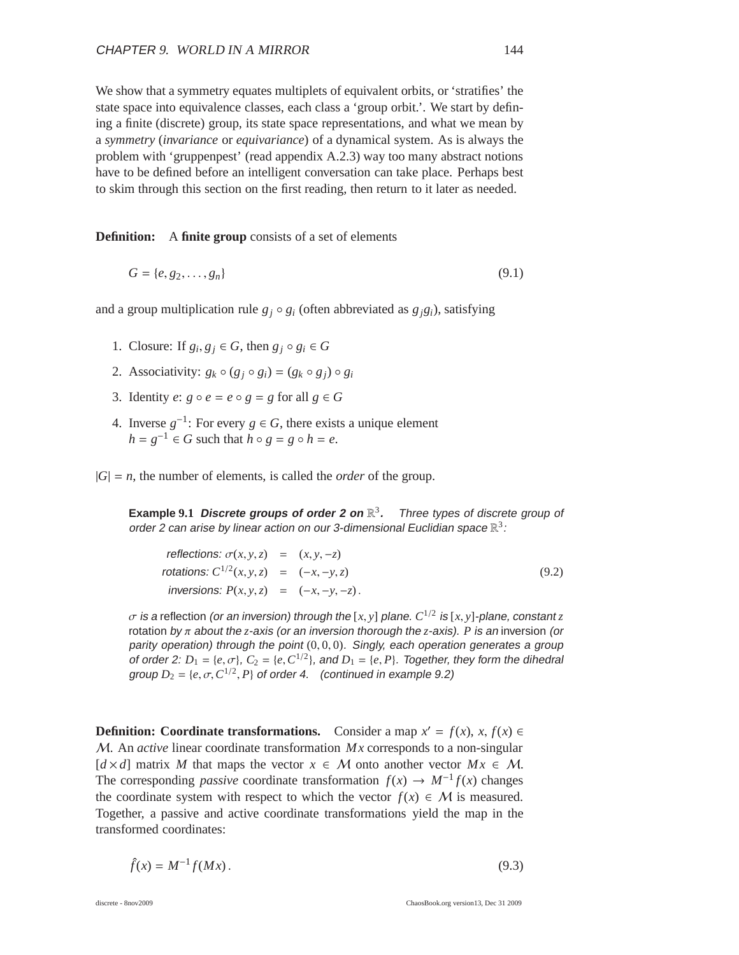We show that a symmetry equates multiplets of equivalent orbits, or 'stratifies' the state space into equivalence classes, each class a 'group orbit.'. We start by defining a finite (discrete) group, its state space representations, and what we mean by a *symmetry* (*invariance* or *equivariance*) of a dynamical system. As is always the problem with 'gruppenpest' (read appendix A.2.3) way too many abstract notions have to be defined before an intelligent conversation can take place. Perhaps best to skim through this section on the first reading, then return to it later as needed.

**Definition:** A **finite group** consists of a set of elements

$$
G = \{e, g_2, \dots, g_n\} \tag{9.1}
$$

and a group multiplication rule  $g_i \circ g_i$  (often abbreviated as  $g_i g_i$ ), satisfying

- 1. Closure: If  $g_i, g_j \in G$ , then  $g_j \circ g_i \in G$
- 2. Associativity:  $g_k \circ (g_i \circ g_i) = (g_k \circ g_i) \circ g_i$
- 3. Identity  $e: g \circ e = e \circ g = g$  for all  $g \in G$
- 4. Inverse  $g^{-1}$ : For every  $g \in G$ , there exists a unique element  $h = g^{-1} \in G$  such that  $h \circ g = g \circ h = e$ .

 $|G| = n$ , the number of elements, is called the *order* of the group.

**Example 9.1 Discrete groups of order <sup>2</sup> on** R 3 **.** Three types of discrete group of order 2 can arise by linear action on our 3-dimensional Euclidian space  $\mathbb{R}^3$ :

reflections:  $\sigma(x, y, z) = (x, y, -z)$  $rotations: C^{1/2}(x, y, z) = (-x, -y, z)$  (9.2)  $inverseions: P(x, y, z) = (-x, -y, -z).$ 

 $\sigma$  is a reflection (or an inversion) through the [x, y] plane.  $C^{1/2}$  is [x, y]-plane, constant  $z$ rotation by π about the *z*-axis (or an inversion thorough the *z*-axis). *P* is an inversion (or parity operation) through the point  $(0, 0, 0)$ . Singly, each operation generates a group of order 2:  $D_1 = \{e, \sigma\}$ ,  $C_2 = \{e, C^{1/2}\}$ , and  $D_1 = \{e, P\}$ . Together, they form the dihedral group  $D_2 = \{e, \sigma, C^{1/2}, P\}$  of order 4. (continued in example 9.2)

**Definition:** Coordinate transformations. Consider a map  $x' = f(x)$ ,  $x, f(x) \in$ M. An *active* linear coordinate transformation *Mx* corresponds to a non-singular  $[d \times d]$  matrix *M* that maps the vector  $x \in M$  onto another vector  $Mx \in M$ . The corresponding *passive* coordinate transformation  $f(x) \to M^{-1}f(x)$  changes the coordinate system with respect to which the vector  $f(x) \in M$  is measured. Together, a passive and active coordinate transformations yield the map in the transformed coordinates:

$$
\hat{f}(x) = M^{-1} f(Mx).
$$
\n(9.3)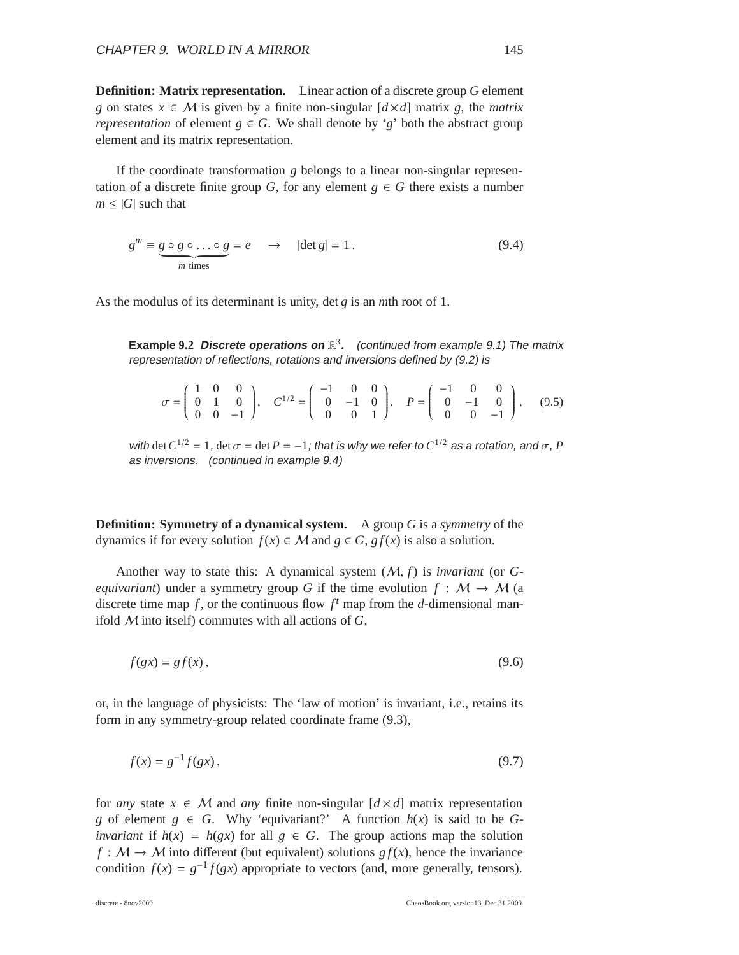**Definition: Matrix representation.** Linear action of a discrete group *G* element *g* on states  $x \in M$  is given by a finite non-singular  $\left[ d \times d \right]$  matrix *g*, the *matrix representation* of element  $g \in G$ . We shall denote by '*g*' both the abstract group element and its matrix representation.

If the coordinate transformation *g* belongs to a linear non-singular representation of a discrete finite group *G*, for any element  $g \in G$  there exists a number  $m \leq |G|$  such that

$$
g^{m} \equiv \underbrace{g \circ g \circ \dots \circ g}_{m \text{ times}} = e \quad \rightarrow \quad |\det g| = 1. \tag{9.4}
$$

As the modulus of its determinant is unity, det *g* is an *m*th root of 1.

**Example 9.2 Discrete operations on**  $\mathbb{R}^3$ **.** (continued from example 9.1) The matrix representation of reflections, rotations and inversions defined by (9.2) is

|  |  |  |  |  | $\sigma = \begin{pmatrix} 1 & 0 & 0 \\ 0 & 1 & 0 \\ 0 & 0 & -1 \end{pmatrix}, \quad C^{1/2} = \begin{pmatrix} -1 & 0 & 0 \\ 0 & -1 & 0 \\ 0 & 0 & 1 \end{pmatrix}, \quad P = \begin{pmatrix} -1 & 0 & 0 \\ 0 & -1 & 0 \\ 0 & 0 & -1 \end{pmatrix}, \quad (9.5)$ |  |  |  |  |  |  |  |  |  |  |
|--|--|--|--|--|-----------------------------------------------------------------------------------------------------------------------------------------------------------------------------------------------------------------------------------------------------------------|--|--|--|--|--|--|--|--|--|--|
|--|--|--|--|--|-----------------------------------------------------------------------------------------------------------------------------------------------------------------------------------------------------------------------------------------------------------------|--|--|--|--|--|--|--|--|--|--|

with det  $C^{1/2} = 1$ , det  $\sigma = \det P = -1$ ; that is why we refer to  $C^{1/2}$  as a rotation, and  $\sigma$ , *P* as inversions. (continued in example 9.4)

**Definition: Symmetry of a dynamical system.** A group *G* is a *symmetry* of the dynamics if for every solution  $f(x) \in M$  and  $g \in G$ ,  $gf(x)$  is also a solution.

Another way to state this: A dynamical system (M, *f*) is *invariant* (or *Gequivariant*) under a symmetry group G if the time evolution  $f : \mathcal{M} \to \mathcal{M}$  (a discrete time map  $f$ , or the continuous flow  $f<sup>t</sup>$  map from the *d*-dimensional manifold M into itself) commutes with all actions of *G*,

$$
f(gx) = gf(x),\tag{9.6}
$$

or, in the language of physicists: The 'law of motion' is invariant, i.e., retains its form in any symmetry-group related coordinate frame (9.3),

$$
f(x) = g^{-1} f(gx),
$$
\n(9.7)

for *any* state  $x \in M$  and *any* finite non-singular  $\lfloor d \times d \rfloor$  matrix representation *g* of element  $g \in G$ . Why 'equivariant?' A function  $h(x)$  is said to be  $G$ *invariant* if  $h(x) = h(gx)$  for all  $g \in G$ . The group actions map the solution  $f : \mathcal{M} \to \mathcal{M}$  into different (but equivalent) solutions  $g f(x)$ , hence the invariance condition  $f(x) = g^{-1} f(gx)$  appropriate to vectors (and, more generally, tensors).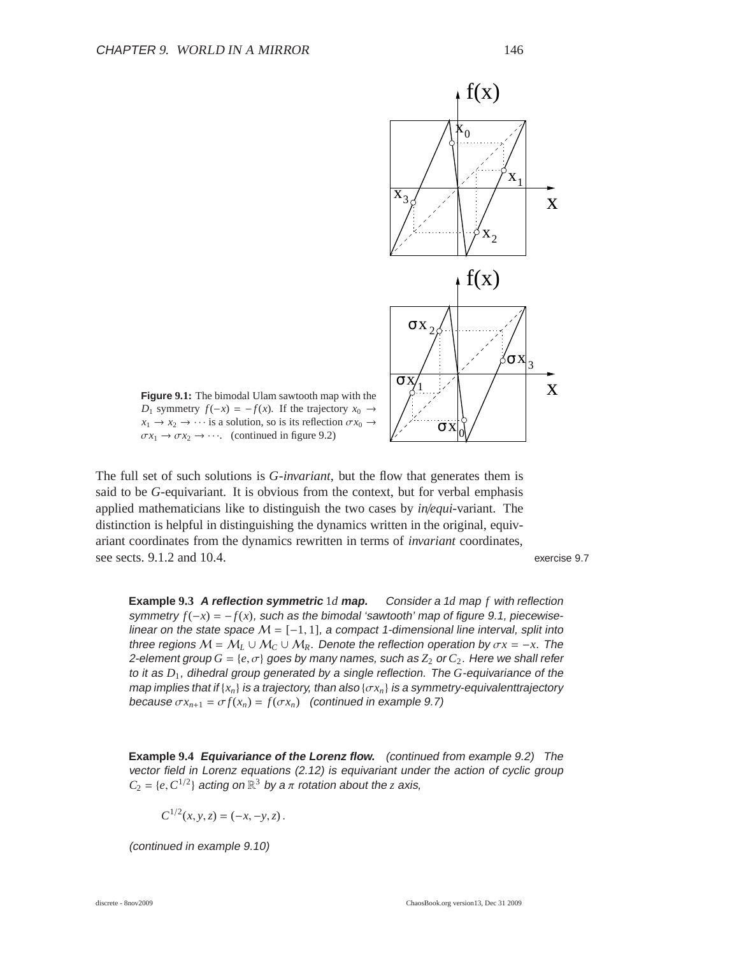

**Figure 9.1:** The bimodal Ulam sawtooth map with the *D*<sub>1</sub> symmetry  $f(-x) = -f(x)$ . If the trajectory  $x_0 \rightarrow$  $x_1 \rightarrow x_2 \rightarrow \cdots$  is a solution, so is its reflection  $\sigma x_0 \rightarrow$  $\sigma x_1 \rightarrow \sigma x_2 \rightarrow \cdots$  (continued in figure 9.2)

The full set of such solutions is *G-invariant*, but the flow that generates them is said to be *G*-equivariant. It is obvious from the context, but for verbal emphasis applied mathematicians like to distinguish the two cases by *in*/*equi*-variant. The distinction is helpful in distinguishing the dynamics written in the original, equivariant coordinates from the dynamics rewritten in terms of *invariant* coordinates, see sects. 9.1.2 and 10.4. exercise 9.7

**Example 9.3 <sup>A</sup> reflection symmetric** 1*d* **map.** Consider <sup>a</sup> <sup>1</sup>*d* map *f* with reflection symmetry  $f(-x) = -f(x)$ , such as the bimodal 'sawtooth' map of figure 9.1, piecewiselinear on the state space  $M = [-1, 1]$ , a compact 1-dimensional line interval, split into three regions  $M = M_L \cup M_C \cup M_R$ . Denote the reflection operation by  $\sigma x = -x$ . The 2-element group  $G = \{e, \sigma\}$  goes by many names, such as  $Z_2$  or  $C_2$ . Here we shall refer to it as *D*<sup>1</sup>, dihedral group generated by <sup>a</sup> single reflection. The *G*-equivariance of the map implies that if  ${x_n}$  is a trajectory, than also  ${\lbrace \sigma x_n \rbrace}$  is a symmetry-equivalenttrajectory because  $\sigma x_{n+1} = \sigma f(x_n) = f(\sigma x_n)$  (continued in example 9.7)

**Example 9.4 Equivariance of the Lorenz flow.** (continued from example 9.2) The vector field in Lorenz equations (2.12) is equivariant under the action of cyclic group  $C_2 = \{e, C^{1/2}\}\n$  acting on  $\mathbb{R}^3$  by a  $\pi$  rotation about the *z* axis,

$$
C^{1/2}(x, y, z) = (-x, -y, z).
$$

(continued in example 9.10)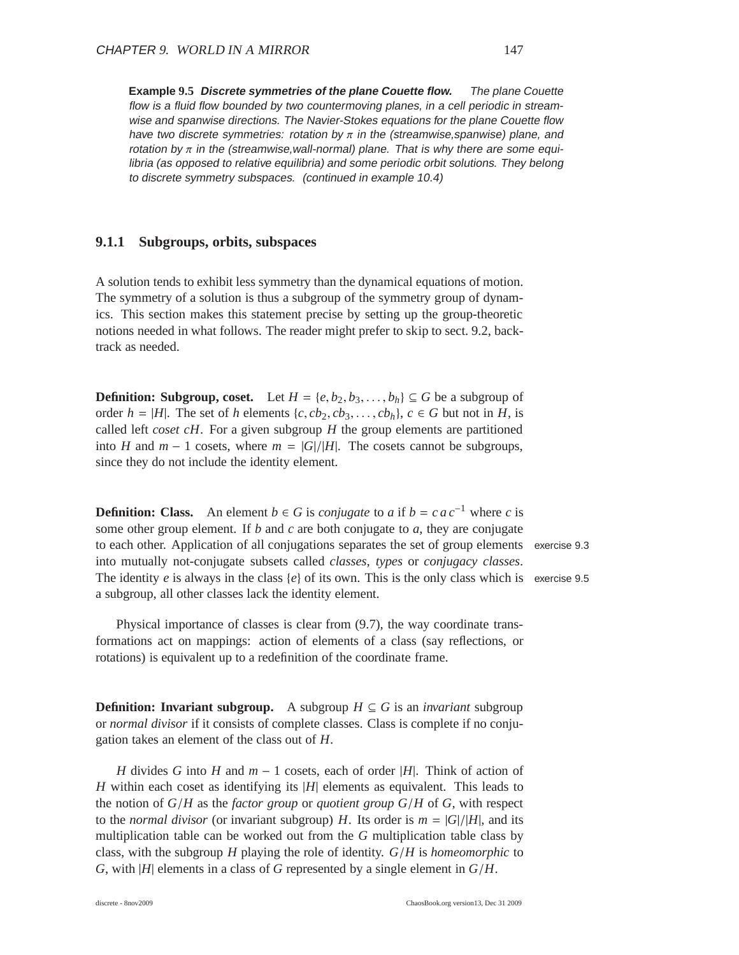**Example 9.5 Discrete symmetries of the plane Couette flow.** The plane Couette flow is a fluid flow bounded by two countermoving planes, in a cell periodic in streamwise and spanwise directions. The Navier-Stokes equations for the plane Couette flow have two discrete symmetries: rotation by  $\pi$  in the (streamwise, spanwise) plane, and rotation by  $\pi$  in the (streamwise, wall-normal) plane. That is why there are some equilibria (as opposed to relative equilibria) and some periodic orbit solutions. They belong to discrete symmetry subspaces. (continued in example 10.4)

#### **9.1.1 Subgroups, orbits, subspaces**

A solution tends to exhibit less symmetry than the dynamical equations of motion. The symmetry of a solution is thus a subgroup of the symmetry group of dynamics. This section makes this statement precise by setting up the group-theoretic notions needed in what follows. The reader might prefer to skip to sect. 9.2, backtrack as needed.

**Definition: Subgroup, coset.** Let  $H = \{e, b_2, b_3, \ldots, b_h\} \subseteq G$  be a subgroup of order  $h = |H|$ . The set of h elements  $\{c, cb_2, cb_3, \ldots, cb_h\}$ ,  $c \in G$  but not in H, is called left *coset cH*. For a given subgroup *H* the group elements are partitioned into *H* and *m* − 1 cosets, where *m* = |*G*|/|*H*|. The cosets cannot be subgroups, since they do not include the identity element.

**Definition:** Class. An element *b*  $\in$  *G* is *conjugate* to *a* if *b* = *c* a  $c^{-1}$  where *c* is some other group element. If  $b$  and  $c$  are both conjugate to  $a$ , they are conjugate to each other. Application of all conjugations separates the set of group elements exercise 9.3 into mutually not-conjugate subsets called *classes*, *types* or *conjugacy classes*. The identity *e* is always in the class {*e*} of its own. This is the only class which is exercise 9.5 a subgroup, all other classes lack the identity element.

Physical importance of classes is clear from (9.7), the way coordinate transformations act on mappings: action of elements of a class (say reflections, or rotations) is equivalent up to a redefinition of the coordinate frame.

**Definition: Invariant subgroup.** A subgroup  $H \subseteq G$  is an *invariant* subgroup or *normal divisor* if it consists of complete classes. Class is complete if no conjugation takes an element of the class out of *H*.

*H* divides *G* into *H* and  $m - 1$  cosets, each of order |*H*|. Think of action of *H* within each coset as identifying its |*H*| elements as equivalent. This leads to the notion of *G*/*H* as the *factor group* or *quotient group G*/*H* of *G*, with respect to the *normal divisor* (or invariant subgroup) *H*. Its order is  $m = |G|/|H|$ , and its multiplication table can be worked out from the *G* multiplication table class by class, with the subgroup *H* playing the role of identity. *G*/*H* is *homeomorphic* to *G*, with |*H*| elements in a class of *G* represented by a single element in *G*/*H*.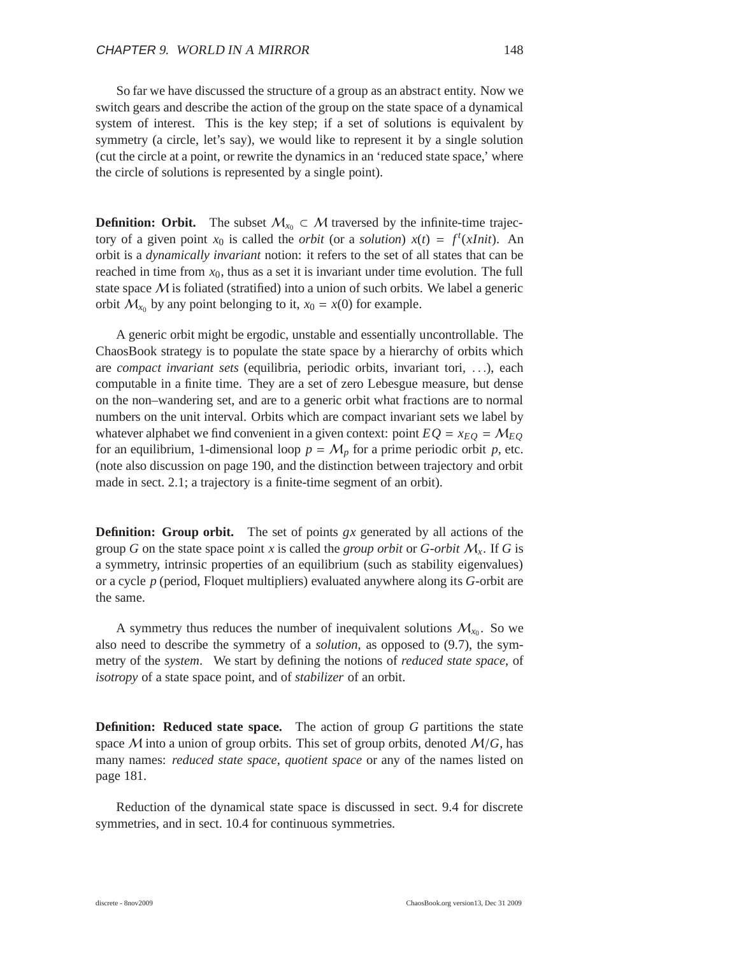So far we have discussed the structure of a group as an abstract entity. Now we switch gears and describe the action of the group on the state space of a dynamical system of interest. This is the key step; if a set of solutions is equivalent by symmetry (a circle, let's say), we would like to represent it by a single solution (cut the circle at a point, or rewrite the dynamics in an 'reduced state space,' where the circle of solutions is represented by a single point).

**Definition: Orbit.** The subset  $M_{x_0} \subset M$  traversed by the infinite-time trajectory of a given point  $x_0$  is called the *orbit* (or a *solution*)  $x(t) = f^t(xInit)$ . An orbit is a *dynamically invariant* notion: it refers to the set of all states that can be reached in time from  $x_0$ , thus as a set it is invariant under time evolution. The full state space  $M$  is foliated (stratified) into a union of such orbits. We label a generic orbit  $M_{x_0}$  by any point belonging to it,  $x_0 = x(0)$  for example.

A generic orbit might be ergodic, unstable and essentially uncontrollable. The ChaosBook strategy is to populate the state space by a hierarchy of orbits which are *compact invariant sets* (equilibria, periodic orbits, invariant tori, . . .), each computable in a finite time. They are a set of zero Lebesgue measure, but dense on the non–wandering set, and are to a generic orbit what fractions are to normal numbers on the unit interval. Orbits which are compact invariant sets we label by whatever alphabet we find convenient in a given context: point  $EQ = x_{EQ} = M_{EQ}$ for an equilibrium, 1-dimensional loop  $p = M_p$  for a prime periodic orbit p, etc. (note also discussion on page 190, and the distinction between trajectory and orbit made in sect. 2.1; a trajectory is a finite-time segment of an orbit).

**Definition:** Group orbit. The set of points *gx* generated by all actions of the group *G* on the state space point *x* is called the *group orbit* or *G-orbit*  $M_x$ . If *G* is a symmetry, intrinsic properties of an equilibrium (such as stability eigenvalues) or a cycle *p* (period, Floquet multipliers) evaluated anywhere along its *G*-orbit are the same.

A symmetry thus reduces the number of inequivalent solutions  $M_{x_0}$ . So we also need to describe the symmetry of a *solution*, as opposed to (9.7), the symmetry of the *system*. We start by defining the notions of *reduced state space*, of *isotropy* of a state space point, and of *stabilizer* of an orbit.

**Definition: Reduced state space.** The action of group *G* partitions the state space M into a union of group orbits. This set of group orbits, denoted  $M/G$ , has many names: *reduced state space*, *quotient space* or any of the names listed on page 181.

Reduction of the dynamical state space is discussed in sect. 9.4 for discrete symmetries, and in sect.  $10.4$  for continuous symmetries.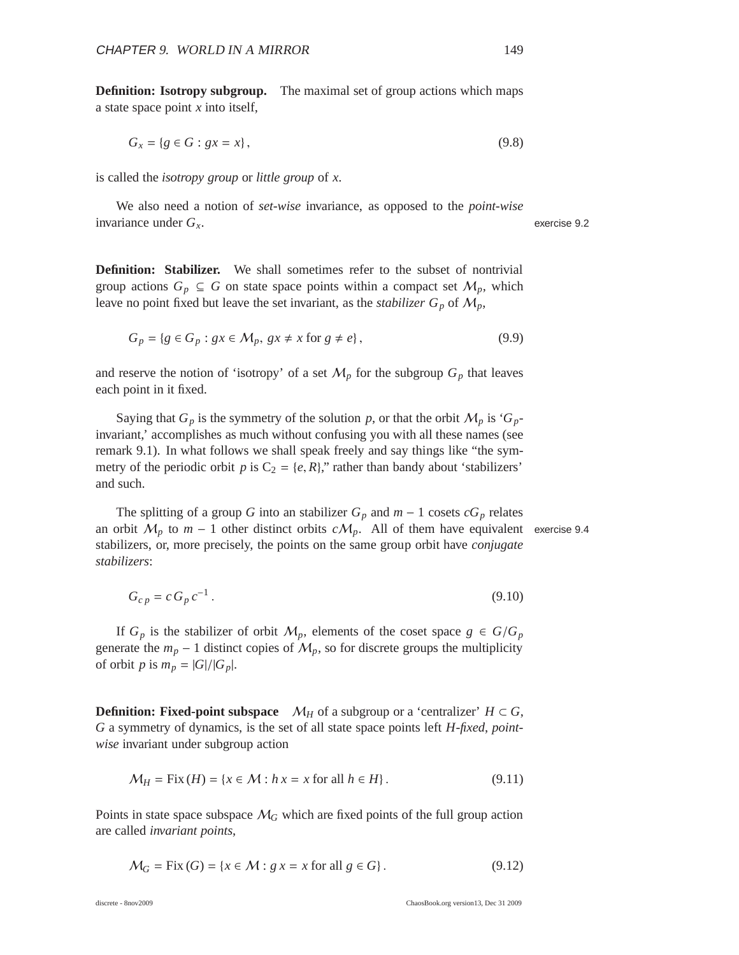**Definition: Isotropy subgroup.** The maximal set of group actions which maps a state space point *x* into itself,

$$
G_x = \{ g \in G : gx = x \},
$$
\n(9.8)

is called the *isotropy group* or *little group* of *x*.

We also need a notion of *set-wise* invariance, as opposed to the *point-wise* invariance under  $G_x$ . exercise 9.2

**Definition: Stabilizer.** We shall sometimes refer to the subset of nontrivial group actions  $G_p \subseteq G$  on state space points within a compact set  $M_p$ , which leave no point fixed but leave the set invariant, as the *stabilizer*  $G_p$  of  $M_p$ ,

$$
G_p = \{ g \in G_p : gx \in M_p, gx \neq x \text{ for } g \neq e \},\tag{9.9}
$$

and reserve the notion of 'isotropy' of a set  $M_p$  for the subgroup  $G_p$  that leaves each point in it fixed.

Saying that  $G_p$  is the symmetry of the solution p, or that the orbit  $M_p$  is  $G_p$ invariant,' accomplishes as much without confusing you with all these names (see remark 9.1). In what follows we shall speak freely and say things like "the symmetry of the periodic orbit *p* is  $C_2 = \{e, R\}$ ," rather than bandy about 'stabilizers' and such.

The splitting of a group *G* into an stabilizer  $G_p$  and  $m-1$  cosets  $cG_p$  relates an orbit  $M_p$  to  $m-1$  other distinct orbits  $cM_p$ . All of them have equivalent exercise 9.4 stabilizers, or, more precisely, the points on the same group orbit have *conjugate stabilizers*:

$$
G_{cp} = c \, G_p \, c^{-1} \,. \tag{9.10}
$$

If  $G_p$  is the stabilizer of orbit  $M_p$ , elements of the coset space  $g \in G/G_p$ generate the  $m_p - 1$  distinct copies of  $M_p$ , so for discrete groups the multiplicity of orbit *p* is  $m_p = |G|/|G_p|$ .

**Definition: Fixed-point subspace**  $M_H$  of a subgroup or a 'centralizer'  $H \subset G$ , *G* a symmetry of dynamics, is the set of all state space points left *H-fixed*, *pointwise* invariant under subgroup action

$$
\mathcal{M}_H = \text{Fix}\,(H) = \{x \in \mathcal{M} : h \, x = x \text{ for all } h \in H\}.
$$
\n
$$
(9.11)
$$

Points in state space subspace M*<sup>G</sup>* which are fixed points of the full group action are called *invariant points*,

$$
\mathcal{M}_G = \text{Fix}(G) = \{x \in \mathcal{M} : g \, x = x \text{ for all } g \in G\}. \tag{9.12}
$$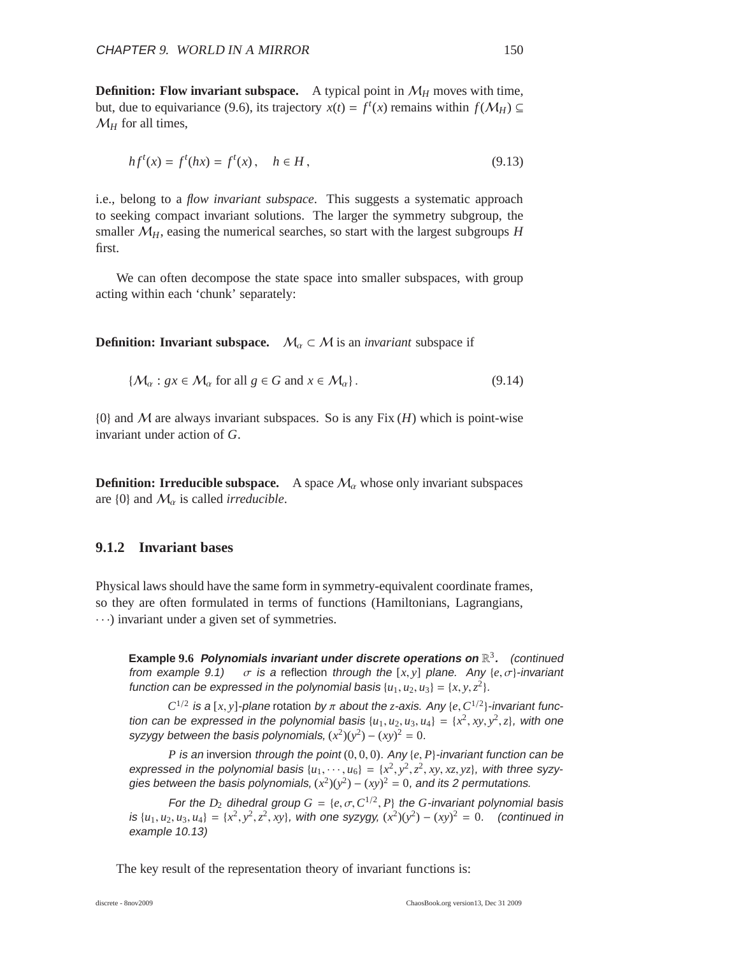**Definition: Flow invariant subspace.** A typical point in  $M_H$  moves with time, but, due to equivariance (9.6), its trajectory  $x(t) = f^t(x)$  remains within  $f(M_H) \subseteq$  $M_H$  for all times,

$$
hf^{t}(x) = f^{t}(hx) = f^{t}(x), \quad h \in H,
$$
\n(9.13)

i.e., belong to a *flow invariant subspace*. This suggests a systematic approach to seeking compact invariant solutions. The larger the symmetry subgroup, the smaller M*H*, easing the numerical searches, so start with the largest subgroups *H* first.

We can often decompose the state space into smaller subspaces, with group acting within each 'chunk' separately:

**Definition: Invariant subspace.**  $\mathcal{M}_\alpha \subset \mathcal{M}$  is an *invariant* subspace if

$$
\{ \mathcal{M}_{\alpha} : gx \in \mathcal{M}_{\alpha} \text{ for all } g \in G \text{ and } x \in \mathcal{M}_{\alpha} \}.
$$
\n
$$
(9.14)
$$

{0} and M are always invariant subspaces. So is any Fix (*H*) which is point-wise invariant under action of *G*.

**Definition: Irreducible subspace.** A space  $\mathcal{M}_{\alpha}$  whose only invariant subspaces are  $\{0\}$  and  $\mathcal{M}_{\alpha}$  is called *irreducible*.

#### **9.1.2 Invariant bases**

Physical laws should have the same form in symmetry-equivalent coordinate frames, so they are often formulated in terms of functions (Hamiltonians, Lagrangians, · · ·) invariant under a given set of symmetries.

**Example 9.6 Polynomials invariant under discrete operations on** R 3 **.** (continued from example 9.1)  $\sigma$  is a reflection through the [x, y] plane. Any {*e*,  $\sigma$ }-invariant function can be expressed in the polynomial basis  $\{u_1, u_2, u_3\} = \{x, y, z^2\}.$ 

*C*<sup>1/2</sup> is a [*x*, *y*]-plane rotation by  $\pi$  about the *z*-axis. Any {*e*, *C*<sup>1/2</sup>}-invariant function can be expressed in the polynomial basis  $\{u_1, u_2, u_3, u_4\} = \{x^2, xy, y^2, z\}$ , with one syzygy between the basis polynomials,  $(x^2)(y^2) - (xy)^2 = 0$ .

*P* is an inversion through the point (0, 0, 0). Any {*e*, *P*}-invariant function can be expressed in the polynomial basis  $\{u_1, \dots, u_6\} = \{x^2, y^2, z^2, xy, xz, yz\}$ , with three syzygies between the basis polynomials,  $(x^2)(y^2) - (xy)^2 = 0$ , and its 2 permutations.

For the  $D_2$  dihedral group  $G = \{e, \sigma, C^{1/2}, P\}$  the *G*-invariant polynomial basis is  $\{u_1, u_2, u_3, u_4\} = \{x^2, y^2, z^2, xy\}$ , with one syzygy,  $(x^2)(y^2) - (xy)^2 = 0$ . (continued in example 10.13)

The key result of the representation theory of invariant functions is: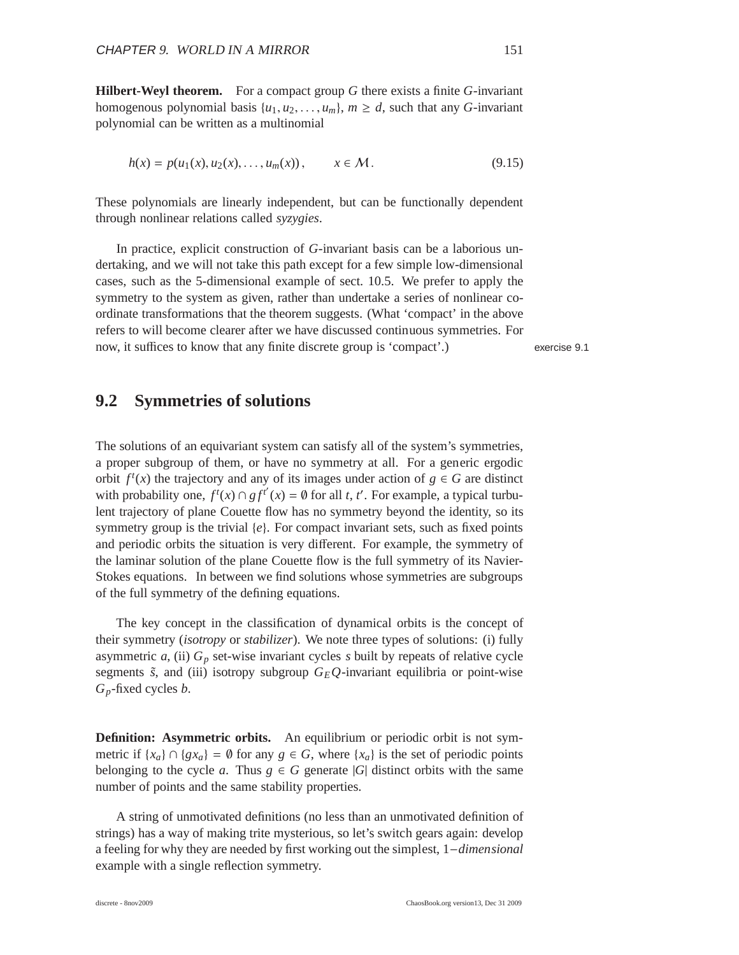**Hilbert-Weyl theorem.** For a compact group *G* there exists a finite *G*-invariant homogenous polynomial basis  $\{u_1, u_2, \ldots, u_m\}$ ,  $m \ge d$ , such that any *G*-invariant polynomial can be written as a multinomial

$$
h(x) = p(u_1(x), u_2(x), \dots, u_m(x)), \qquad x \in \mathcal{M}.
$$
 (9.15)

These polynomials are linearly independent, but can be functionally dependent through nonlinear relations called *syzygies*.

In practice, explicit construction of *G*-invariant basis can be a laborious undertaking, and we will not take this path except for a few simple low-dimensional cases, such as the 5-dimensional example of sect. 10.5. We prefer to apply the symmetry to the system as given, rather than undertake a series of nonlinear coordinate transformations that the theorem suggests. (What 'compact' in the above refers to will become clearer after we have discussed continuous symmetries. For now, it suffices to know that any finite discrete group is 'compact'.) exercise 9.1

**9.2 Symmetries of solutions**

The solutions of an equivariant system can satisfy all of the system's symmetries, a proper subgroup of them, or have no symmetry at all. For a generic ergodic orbit  $f^t(x)$  the trajectory and any of its images under action of  $g \in G$  are distinct with probability one,  $f^t(x) \cap gf^{t'}(x) = \emptyset$  for all *t*, *t'*. For example, a typical turbulent trajectory of plane Couette flow has no symmetry beyond the identity, so its symmetry group is the trivial {*e*}. For compact invariant sets, such as fixed points and periodic orbits the situation is very different. For example, the symmetry of the laminar solution of the plane Couette flow is the full symmetry of its Navier-Stokes equations. In between we find solutions whose symmetries are subgroups of the full symmetry of the defining equations.

The key concept in the classification of dynamical orbits is the concept of their symmetry (*isotropy* or *stabilizer*). We note three types of solutions: (i) fully asymmetric  $a$ , (ii)  $G_p$  set-wise invariant cycles  $s$  built by repeats of relative cycle segments  $\tilde{s}$ , and (iii) isotropy subgroup  $G_EQ$ -invariant equilibria or point-wise *Gp*-fixed cycles *b*.

**Definition: Asymmetric orbits.** An equilibrium or periodic orbit is not symmetric if  $\{x_a\} \cap \{gx_a\} = ∅$  for any  $g ∈ G$ , where  $\{x_a\}$  is the set of periodic points belonging to the cycle *a*. Thus  $g \in G$  generate |*G*| distinct orbits with the same number of points and the same stability properties.

A string of unmotivated definitions (no less than an unmotivated definition of strings) has a way of making trite mysterious, so let's switch gears again: develop a feeling for why they are needed by first working out the simplest, 1−*dimensional* example with a single reflection symmetry.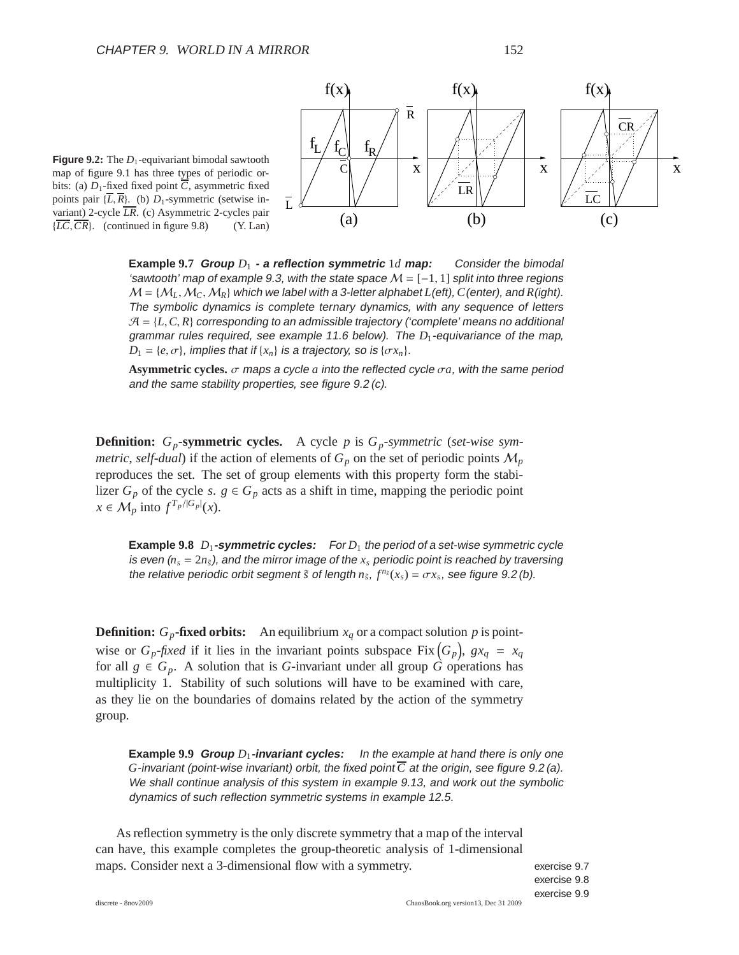

**Figure 9.2:** The *D*<sub>1</sub>-equivariant bimodal sawtooth map of figure 9.1 has three types of periodic orbits: (a)  $D_1$ -fixed fixed point  $\overline{C}$ , asymmetric fixed points pair  $\{\overline{L}, \overline{R}\}$ . (b) *D*<sub>1</sub>-symmetric (setwise invariant) 2-cycle  $\overline{LR}$ . (c) Asymmetric 2-cycles pair  $\{ \overline{LC}, \overline{CR} \}$ . (continued in figure 9.8) (Y. Lan)

**Example** 9.7 **Group**  $D_1$  **- a reflection symmetric** 1*d* **map:** Consider the bimodal 'sawtooth' map of example 9.3, with the state space  $M = [-1, 1]$  split into three regions  $M = \{M_L, M_C, M_R\}$  which we label with a 3-letter alphabet  $L$ (eft),  $C$ (enter), and  $R$ (ight). The symbolic dynamics is complete ternary dynamics, with any sequence of letters  $A = \{L, C, R\}$  corresponding to an admissible trajectory ('complete' means no additional grammar rules required, see example 11.6 below). The  $D_1$ -equivariance of the map,  $D_1 = \{e, \sigma\}$ , implies that if  $\{x_n\}$  is a trajectory, so is  $\{\sigma x_n\}$ .

**Asymmetric cycles.** σ maps <sup>a</sup> cycle *a* into the reflected cycle σ*a*, with the same period and the same stability properties, see figure 9.2 (c).

**Definition:**  $G_p$ -symmetric cycles. A cycle *p* is  $G_p$ -symmetric (*set-wise symmetric*, *self-dual*) if the action of elements of  $G_p$  on the set of periodic points  $M_p$ reproduces the set. The set of group elements with this property form the stabilizer  $G_p$  of the cycle *s*.  $g \in G_p$  acts as a shift in time, mapping the periodic point  $x \in M_p$  into  $f^{T_p/|G_p|}(x)$ .

**Example 9.8**  $D_1$ -symmetric cycles: For  $D_1$  the period of a set-wise symmetric cycle is even  $(n_s = 2n_{\bar{s}})$ , and the mirror image of the  $x_s$  periodic point is reached by traversing the relative periodic orbit segment  $\tilde{s}$  of length  $n_{\tilde{s}}$ ,  $f^{n_{\tilde{s}}}(x_s) = \sigma x_s$ , see figure 9.2 (b).

**Definition:**  $G_p$ -fixed orbits: An equilibrium  $x_q$  or a compact solution p is pointwise or  $G_p$ -*fixed* if it lies in the invariant points subspace Fix  $(G_p)$ ,  $gx_q = x_q$ for all  $g \in G_p$ . A solution that is *G*-invariant under all group *G* operations has multiplicity 1. Stability of such solutions will have to be examined with care, as they lie on the boundaries of domains related by the action of the symmetry group.

**Example 9.9 Group**  $D_1$ -invariant cycles: In the example at hand there is only one *G*-invariant (point-wise invariant) orbit, the fixed point  $\overline{C}$  at the origin, see figure 9.2 (a). We shall continue analysis of this system in example 9.13, and work out the symbolic dynamics of such reflection symmetric systems in example 12.5.

As reflection symmetry is the only discrete symmetry that a map of the interval can have, this example completes the group-theoretic analysis of 1-dimensional maps. Consider next a 3-dimensional flow with a symmetry. exercise 9.7

exercise 9.8 exercise 9.9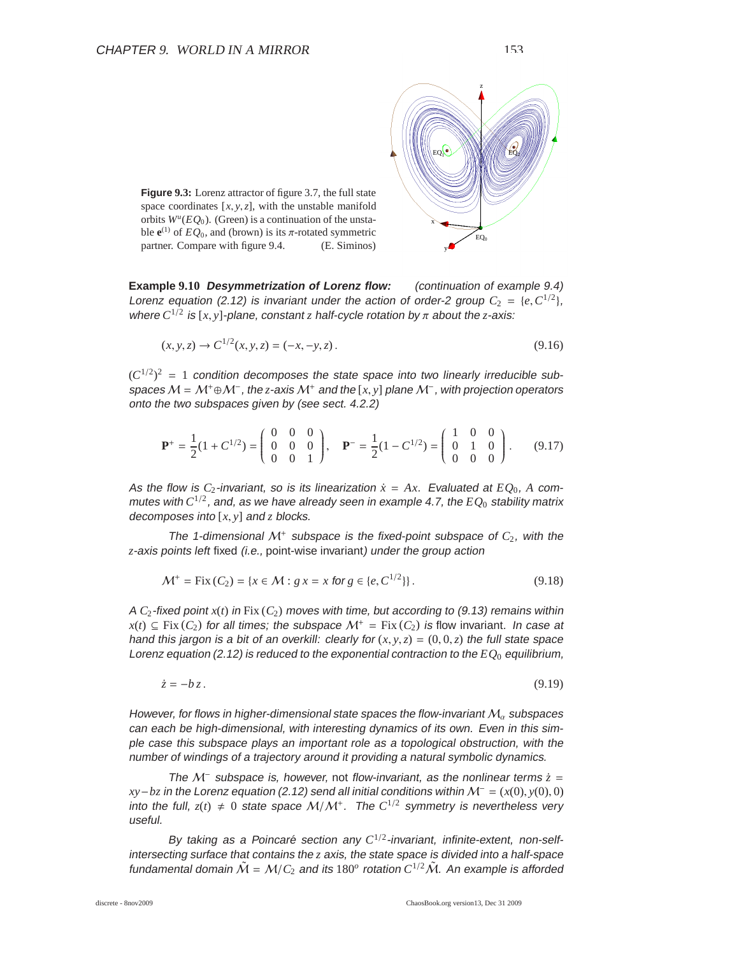

**Figure 9.3:** Lorenz attractor of figure 3.7, the full state space coordinates  $[x, y, z]$ , with the unstable manifold orbits  $W^u(EQ_0)$ . (Green) is a continuation of the unstable  $e^{(1)}$  of  $EQ_0$ , and (brown) is its  $\pi$ -rotated symmetric partner. Compare with figure 9.4. (E. Siminos)

**Example** 9.10 **Desymmetrization of Lorenz flow:** (continuation of example 9.4) Lorenz equation (2.12) is invariant under the action of order-2 group  $C_2 = \{e, C^{1/2}\},\$ where  $C^{1/2}$  is [x, y]-plane, constant *z* half-cycle rotation by  $\pi$  about the *z*-axis:

$$
(x, y, z) \to C^{1/2}(x, y, z) = (-x, -y, z).
$$
\n(9.16)

 $(C^{1/2})^2 = 1$  condition decomposes the state space into two linearly irreducible subspaces <sup>M</sup> <sup>=</sup> <sup>M</sup><sup>+</sup>⊕M<sup>−</sup> , the *<sup>z</sup>*-axis <sup>M</sup><sup>+</sup> and the [*x*, *<sup>y</sup>*] plane <sup>M</sup><sup>−</sup> , with projection operators onto the two subspaces given by (see sect. 4.2.2)

$$
\mathbf{P}^+ = \frac{1}{2}(1 + C^{1/2}) = \begin{pmatrix} 0 & 0 & 0 \\ 0 & 0 & 0 \\ 0 & 0 & 1 \end{pmatrix}, \quad \mathbf{P}^- = \frac{1}{2}(1 - C^{1/2}) = \begin{pmatrix} 1 & 0 & 0 \\ 0 & 1 & 0 \\ 0 & 0 & 0 \end{pmatrix}.
$$
 (9.17)

As the flow is  $C_2$ -invariant, so is its linearization  $\dot{x} = Ax$ . Evaluated at  $EQ_0$ , A commutes with  $C^{1/2}$ , and, as we have already seen in example 4.7, the  $EQ_0$  stability matrix decomposes into [*x*, *y*] and *z* blocks.

The 1-dimensional  $M^+$  subspace is the fixed-point subspace of  $C_2$ , with the *z*-axis points left fixed (i.e., point-wise invariant) under the group action

$$
\mathcal{M}^+ = \text{Fix}\,(C_2) = \{x \in \mathcal{M} : g \, x = x \text{ for } g \in \{e, C^{1/2}\}\}.
$$
\n(9.18)

A  $C_2$ -fixed point  $x(t)$  in Fix  $(C_2)$  moves with time, but according to (9.13) remains within  $x(t) \subseteq Fix(C_2)$  for all times; the subspace  $\mathcal{M}^+ = Fix(C_2)$  is flow invariant. In case at hand this jargon is a bit of an overkill: clearly for  $(x, y, z) = (0, 0, z)$  the full state space Lorenz equation (2.12) is reduced to the exponential contraction to the  $EQ<sub>0</sub>$  equilibrium,

*z*<sup>i</sup> = −*b z*. (9.19)

However, for flows in higher-dimensional state spaces the flow-invariant  $M_\alpha$  subspaces can each be high-dimensional, with interesting dynamics of its own. Even in this simple case this subspace plays an important role as <sup>a</sup> topological obstruction, with the number of windings of <sup>a</sup> trajectory around it providing <sup>a</sup> natural symbolic dynamics.

The M<sup>-</sup> subspace is, however, not flow-invariant, as the nonlinear terms  $\dot{z}$  =  $xy - bz$  in the Lorenz equation (2.12) send all initial conditions within  $\mathcal{M}^- = (x(0), y(0), 0)$ into the full,  $z(t) \neq 0$  state space  $M/M^+$ . The  $C^{1/2}$  symmetry is nevertheless very useful.

By taking as a Poincaré section any  $C^{1/2}$ -invariant, infinite-extent, non-selfintersecting surface that contains the *z* axis, the state space is divided into <sup>a</sup> half-space fundamental domain  $\tilde{\mathcal{M}} = \mathcal{M}/C_2$  and its  $180^o$  rotation  $C^{1/2}\tilde{\mathcal{M}}$ . An example is afforded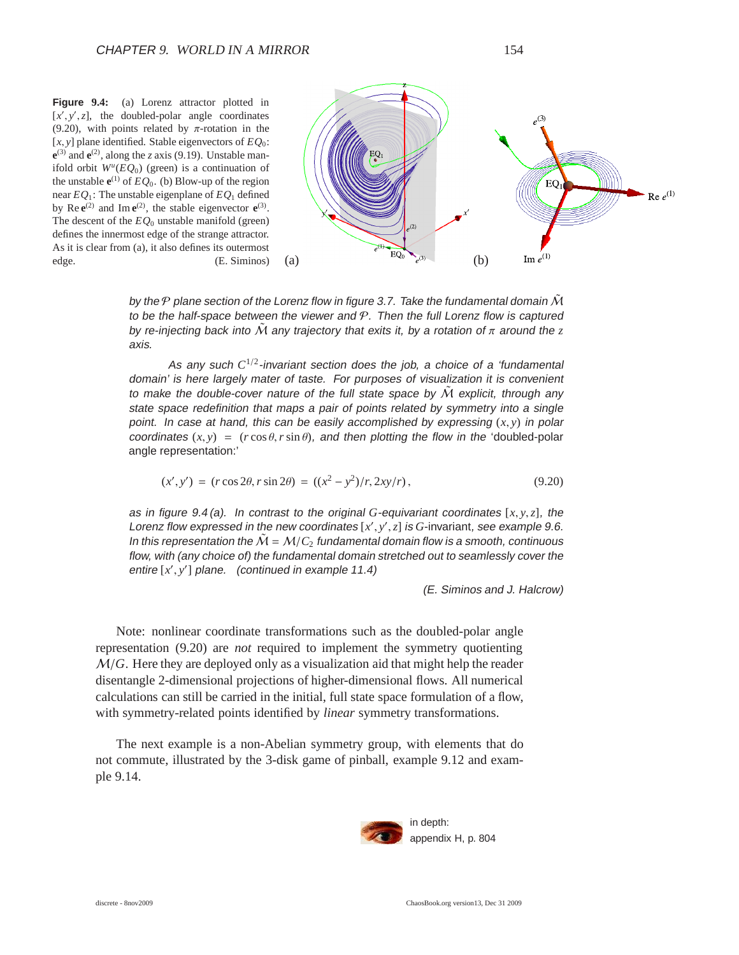**Figure 9.4:** (a) Lorenz attractor plotted in  $[x', y', z]$ , the doubled-polar angle coordinates (9.20), with points related by  $\pi$ -rotation in the [ $x$ ,  $y$ ] plane identified. Stable eigenvectors of  $EQ_0$ :  $e^{(3)}$  and  $e^{(2)}$ , along the *z* axis (9.19). Unstable manifold orbit  $W^u(EQ_0)$  (green) is a continuation of the unstable  $e^{(1)}$  of  $EQ_0$ . (b) Blow-up of the region near  $EO_1$ : The unstable eigenplane of  $EO_1$  defined by Re  $e^{(2)}$  and Im  $e^{(2)}$ , the stable eigenvector  $e^{(3)}$ . The descent of the *EQ*<sup>0</sup> unstable manifold (green) defines the innermost edge of the strange attractor. As it is clear from (a), it also defines its outermost As it is creat from (a), it also defines its outcomost<br>edge.  $EQ_0$   $EQ_0$   $E^{(3)}$  (b)



by the P plane section of the Lorenz flow in figure 3.7. Take the fundamental domain  $\dot{M}$ to be the half-space between the viewer and  $P$ . Then the full Lorenz flow is captured by re-injecting back into  $\tilde{M}$  any trajectory that exits it, by a rotation of  $\pi$  around the  $\zeta$ axis.

As any such  $C^{1/2}$ -invariant section does the job, a choice of a 'fundamental domain' is here largely mater of taste. For purposes of visualization it is convenient to make the double-cover nature of the full state space by  $\tilde{M}$  explicit, through any state space redefinition that maps <sup>a</sup> pair of points related by symmetry into <sup>a</sup> single point. In case at hand, this can be easily accomplished by expressing  $(x, y)$  in polar coordinates  $(x, y) = (r \cos \theta, r \sin \theta)$ , and then plotting the flow in the 'doubled-polar angle representation:'

$$
(x', y') = (r \cos 2\theta, r \sin 2\theta) = ((x^2 - y^2)/r, 2xy/r), \qquad (9.20)
$$

as in figure 9.4 (a). In contrast to the original *G*-equivariant coordinates [*x*, *y*,*z*], the Lorenz flow expressed in the new coordinates  $[x', y', z]$  is G-invariant, see example 9.6. In this representation the  $\dot{M} = M/C_2$  fundamental domain flow is a smooth, continuous flow, with (any choice of) the fundamental domain stretched out to seamlessly cover the entire [x', y'] plane. (continued in example 11.4)

(E. Siminos and J. Halcrow)

Note: nonlinear coordinate transformations such as the doubled-polar angle representation (9.20) are *not* required to implement the symmetry quotienting M/*G*. Here they are deployed only as a visualization aid that might help the reader disentangle 2-dimensional projections of higher-dimensional flows. All numerical calculations can still be carried in the initial, full state space formulation of a flow, with symmetry-related points identified by *linear* symmetry transformations.

The next example is a non-Abelian symmetry group, with elements that do not commute, illustrated by the 3-disk game of pinball, example 9.12 and example 9.14.

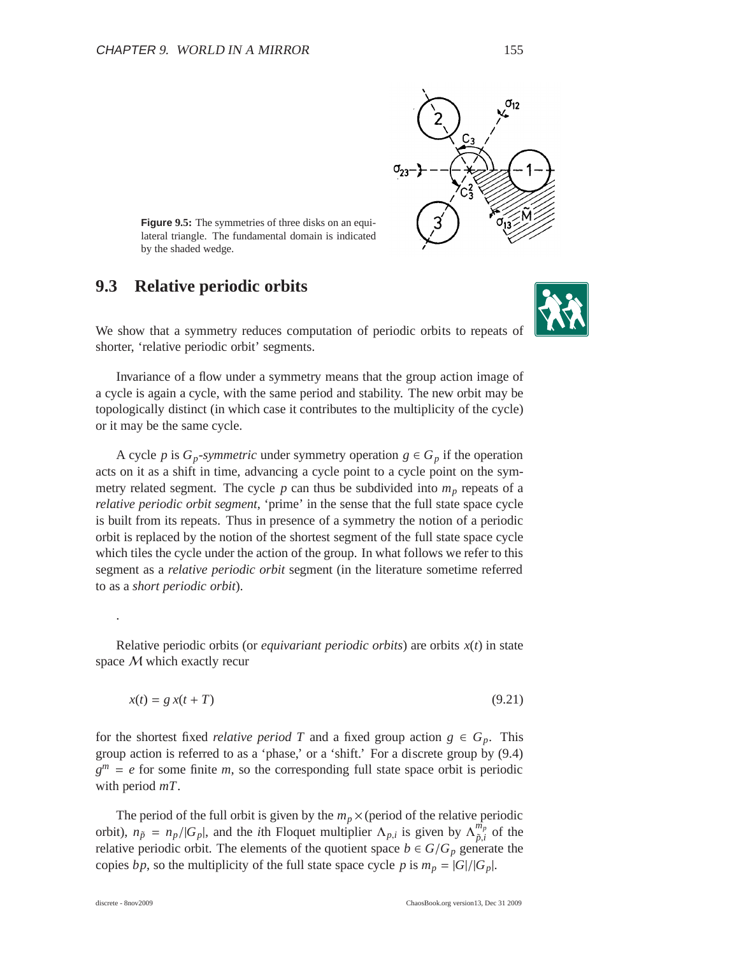

**Figure 9.5:** The symmetries of three disks on an equilateral triangle. The fundamental domain is indicated by the shaded wedge.

## **9.3 Relative periodic orbits**

We show that a symmetry reduces computation of periodic orbits to repeats of shorter, 'relative periodic orbit' segments.

Invariance of a flow under a symmetry means that the group action image of a cycle is again a cycle, with the same period and stability. The new orbit may be topologically distinct (in which case it contributes to the multiplicity of the cycle) or it may be the same cycle.

A cycle *p* is  $G_p$ -*symmetric* under symmetry operation  $g \in G_p$  if the operation acts on it as a shift in time, advancing a cycle point to a cycle point on the symmetry related segment. The cycle  $p$  can thus be subdivided into  $m_p$  repeats of a *relative periodic orbit segment*, 'prime' in the sense that the full state space cycle is built from its repeats. Thus in presence of a symmetry the notion of a periodic orbit is replaced by the notion of the shortest segment of the full state space cycle which tiles the cycle under the action of the group. In what follows we refer to this segment as a *relative periodic orbit* segment (in the literature sometime referred to as a *short periodic orbit*).

Relative periodic orbits (or *equivariant periodic orbits*) are orbits *x*(*t*) in state space M which exactly recur

$$
x(t) = g x(t+T) \tag{9.21}
$$

for the shortest fixed *relative period* T and a fixed group action  $g \in G_p$ . This group action is referred to as a 'phase,' or a 'shift.' For a discrete group by (9.4)  $g^m = e$  for some finite *m*, so the corresponding full state space orbit is periodic with period *mT*.

The period of the full orbit is given by the  $m_p \times$  (period of the relative periodic orbit),  $n_{\tilde{p}} = n_p / |G_p|$ , and the *i*th Floquet multiplier  $\Lambda_{p,i}$  is given by  $\Lambda_{\tilde{p},i}^{\tilde{m_p}}$  $\binom{m_p}{\tilde{p}, i}$  of the relative periodic orbit. The elements of the quotient space  $b \in G/G_p$  generate the copies *bp*, so the multiplicity of the full state space cycle *p* is  $m_p = |G|/|G_p|$ .

.

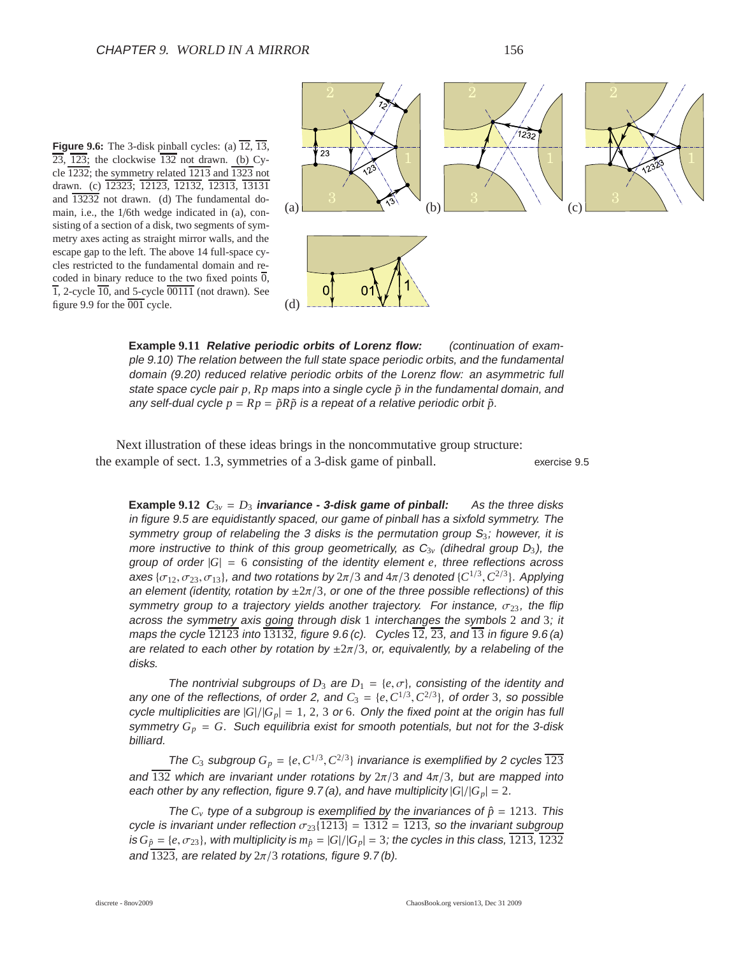**Figure 9.6:** The 3-disk pinball cycles: (a)  $\overline{12}$ ,  $\overline{13}$ ,  $\overline{23}$ ,  $\overline{123}$ ; the clockwise  $\overline{132}$  not drawn. (b) Cycle 1232; the symmetry related 1213 and 1323 not drawn. (c) 12323; 12123, 12132, 12313, 13131 and 13232 not drawn. (d) The fundamental domain, i.e., the 1/6th wedge indicated in (a), consisting of a section of a disk, two segments of symmetry axes acting as straight mirror walls, and the escape gap to the left. The above 14 full-space cycles restricted to the fundamental domain and recoded in binary reduce to the two fixed points  $\overline{0}$ ,  $\overline{1}$ , 2-cycle  $\overline{10}$ , and 5-cycle  $\overline{00111}$  (not drawn). See figure 9.9 for the  $\overline{001}$  cycle.



**Example 9.11 Relative periodic orbits of Lorenz flow:** (continuation of example 9.10) The relation between the full state space periodic orbits, and the fundamental domain (9.20) reduced relative periodic orbits of the Lorenz flow: an asymmetric full state space cycle pair  $p$ ,  $Rp$  maps into a single cycle  $\tilde{p}$  in the fundamental domain, and any self-dual cycle  $p = Rp = \tilde{p}R\tilde{p}$  is a repeat of a relative periodic orbit  $\tilde{p}$ .

Next illustration of these ideas brings in the noncommutative group structure: the example of sect. 1.3, symmetries of a 3-disk game of pinball. exercise 9.5

**Example** 9.12  $C_{3v} = D_3$  **invariance - 3-disk game of pinball:** As the three disks in figure 9.5 are equidistantly spaced, our game of pinball has <sup>a</sup> sixfold symmetry. The symmetry group of relabeling the 3 disks is the permutation group  $S_3$ ; however, it is more instructive to think of this group geometrically, as  $C_{3v}$  (dihedral group  $D_3$ ), the group of order  $|G| = 6$  consisting of the identity element  $e$ , three reflections across axes { $\sigma_{12}, \sigma_{23}, \sigma_{13}$ }, and two rotations by  $2\pi/3$  and  $4\pi/3$  denoted { $C^{1/3}, C^{2/3}$ }. Applying an element (identity, rotation by  $\pm 2\pi/3$ , or one of the three possible reflections) of this symmetry group to a trajectory yields another trajectory. For instance,  $\sigma_{23}$ , the flip across the symmetry axis going through disk 1 interchanges the symbols 2 and 3; it maps the cycle 12123 into 13132, figure 9.6 (c). Cycles 12, 23, and 13 in figure 9.6 (a) are related to each other by rotation by  $\pm 2\pi/3$ , or, equivalently, by a relabeling of the disks.

The nontrivial subgroups of  $D_3$  are  $D_1 = \{e, \sigma\}$ , consisting of the identity and any one of the reflections, of order 2, and  $C_3 = \{e, C^{1/3}, C^{2/3}\}$ , of order 3, so possible cycle multiplicities are  $|G|/|G_p| = 1, 2, 3$  or 6. Only the fixed point at the origin has full symmetry  $G_p = G$ . Such equilibria exist for smooth potentials, but not for the 3-disk billiard.

The  $C_3$  subgroup  $G_p = \{e, C^{1/3}, C^{2/3}\}$  invariance is exemplified by 2 cycles  $\overline{123}$ and  $\overline{132}$  which are invariant under rotations by  $2\pi/3$  and  $4\pi/3$ , but are mapped into each other by any reflection, figure 9.7 (a), and have multiplicity  $|G|/|G_p| = 2$ .

The  $C_v$  type of a subgroup is exemplified by the invariances of  $\hat{p} = 1213$ . This cycle is invariant under reflection  $\sigma_{23}$ {1213} = 1312 = 1213, so the invariant subgroup is  $G_{\hat{p}} = \{e, \sigma_{23}\}\$ , with multiplicity is  $m_{\hat{p}} = |G|/|G_p| = 3$ ; the cycles in this class,  $\overline{1213}$ ,  $\overline{1232}$ and  $\overline{1323}$ , are related by  $2\pi/3$  rotations, figure 9.7(b).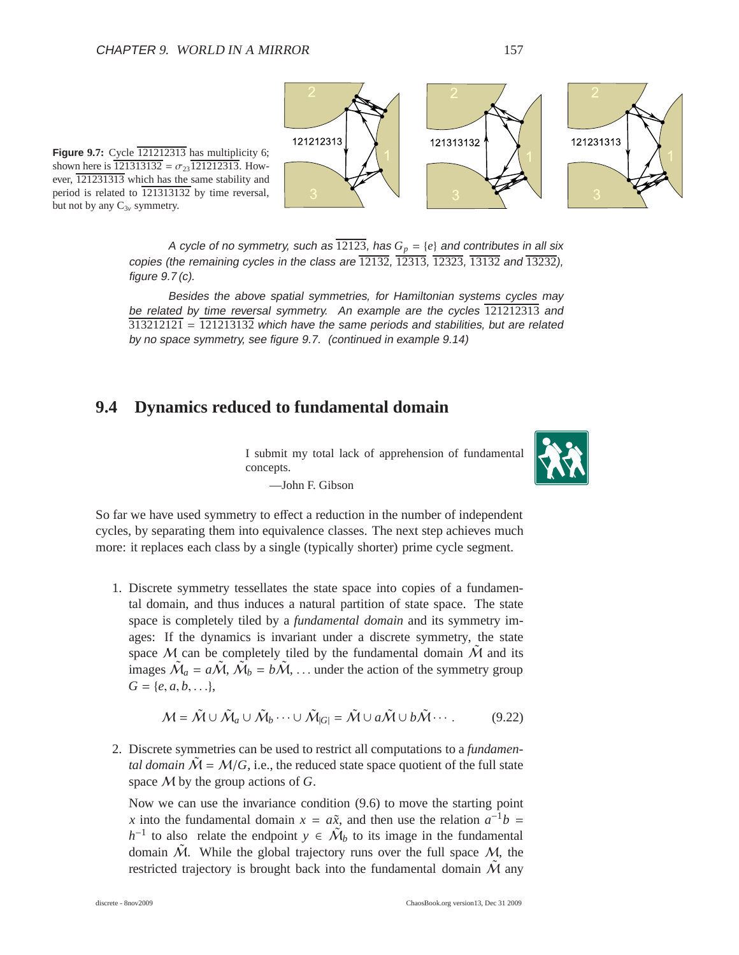

**Figure 9.7:** Cycle  $\overline{121212313}$  has multiplicity 6; shown here is  $\overline{121313132} = \sigma_{23} \overline{121212313}$ . However, 121231313 which has the same stability and period is related to 121313132 by time reversal, but not by any  $C_{3v}$  symmetry.

> A cycle of no symmetry, such as  $\overline{12123}$ , has  $G_p = \{e\}$  and contributes in all six copies (the remaining cycles in the class are  $\overline{12132}$ ,  $\overline{12313}$ ,  $\overline{12323}$ ,  $\overline{13132}$  and  $\overline{13232}$ ). figure 9.7 (c).

> Besides the above spatial symmetries, for Hamiltonian systems cycles may be related by time reversal symmetry. An example are the cycles  $\frac{121212313}{121212313}$  and  $\overline{313212121}$  =  $\overline{121213132}$  which have the same periods and stabilities, but are related by no space symmetry, see figure 9.7. (continued in example 9.14)

## **9.4 Dynamics reduced to fundamental domain**

I submit my total lack of apprehension of fundamental concepts. —John F. Gibson



So far we have used symmetry to effect a reduction in the number of independent cycles, by separating them into equivalence classes. The next step achieves much more: it replaces each class by a single (typically shorter) prime cycle segment.

1. Discrete symmetry tessellates the state space into copies of a fundamental domain, and thus induces a natural partition of state space. The state space is completely tiled by a *fundamental domain* and its symmetry images: If the dynamics is invariant under a discrete symmetry, the state space M can be completely tiled by the fundamental domain  $\tilde{M}$  and its images  $\tilde{M}_a = a\tilde{M}$ ,  $\tilde{M}_b = b\tilde{M}$ , ... under the action of the symmetry group  $G = \{e, a, b, \ldots\},\$ 

$$
\mathcal{M} = \tilde{\mathcal{M}} \cup \tilde{\mathcal{M}}_a \cup \tilde{\mathcal{M}}_b \cdots \cup \tilde{\mathcal{M}}_{|G|} = \tilde{\mathcal{M}} \cup a\tilde{\mathcal{M}} \cup b\tilde{\mathcal{M}} \cdots. \tag{9.22}
$$

2. Discrete symmetries can be used to restrict all computations to a *fundamental domain*  $\tilde{M} = M/G$ , i.e., the reduced state space quotient of the full state space M by the group actions of *G*.

Now we can use the invariance condition (9.6) to move the starting point *x* into the fundamental domain  $x = a\tilde{x}$ , and then use the relation  $a^{-1}b =$  $h^{-1}$  to also relate the endpoint  $y \in \tilde{\mathcal{M}}_b$  to its image in the fundamental domain  $\tilde{M}$ . While the global trajectory runs over the full space  $M$ , the restricted trajectory is brought back into the fundamental domain  $\tilde{M}$  any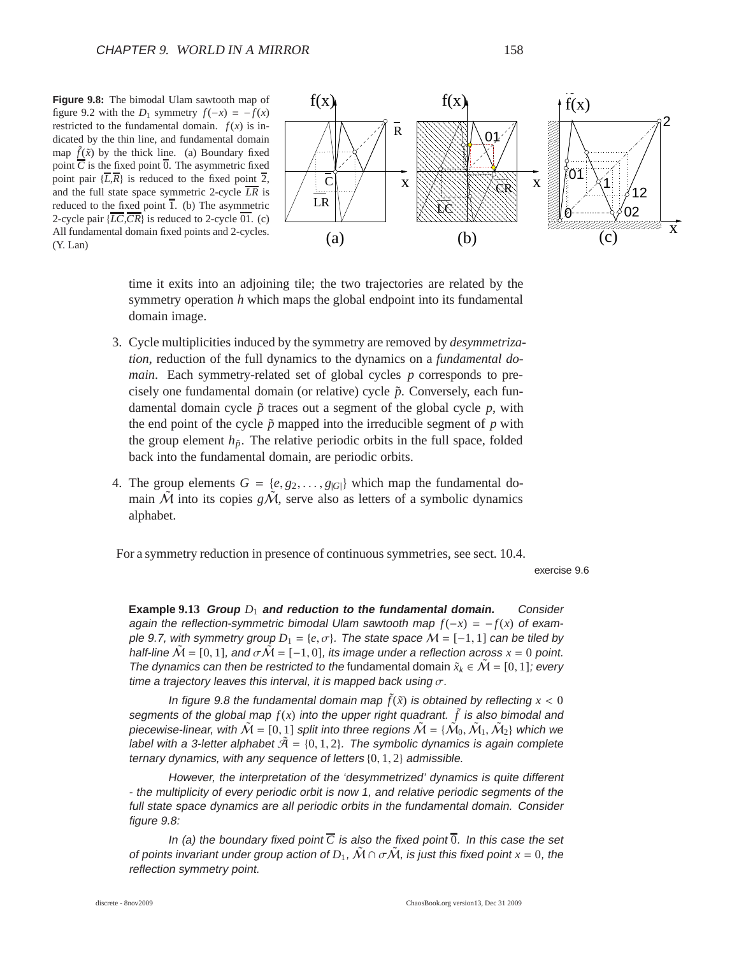**Figure 9.8:** The bimodal Ulam sawtooth map of figure 9.2 with the  $D_1$  symmetry  $f(-x) = -f(x)$ restricted to the fundamental domain.  $f(x)$  is indicated by the thin line, and fundamental domain map  $\tilde{f}(\tilde{x})$  by the thick line. (a) Boundary fixed point  $\overline{C}$  is the fixed point  $\overline{0}$ . The asymmetric fixed point pair  $\{\overline{L}, \overline{R}\}$  is reduced to the fixed point  $\overline{2}$ , and the full state space symmetric 2-cycle  $\overline{LR}$  is reduced to the fixed point  $\overline{1}$ . (b) The asymmetric 2-cycle pair  $\{ \overline{LC}, \overline{CR} \}$  is reduced to 2-cycle  $\overline{01}$ . (c) All fundamental domain fixed points and 2-cycles. (Y. Lan)



time it exits into an adjoining tile; the two trajectories are related by the symmetry operation *h* which maps the global endpoint into its fundamental domain image.

- 3. Cycle multiplicities induced by the symmetry are removed by *desymmetrization*, reduction of the full dynamics to the dynamics on a *fundamental domain*. Each symmetry-related set of global cycles *p* corresponds to precisely one fundamental domain (or relative) cycle  $\tilde{p}$ . Conversely, each fundamental domain cycle  $\tilde{p}$  traces out a segment of the global cycle  $p$ , with the end point of the cycle  $\tilde{p}$  mapped into the irreducible segment of  $p$  with the group element  $h_{\tilde{p}}$ . The relative periodic orbits in the full space, folded back into the fundamental domain, are periodic orbits.
- 4. The group elements  $G = \{e, g_2, \ldots, g_{|G|}\}\$  which map the fundamental domain  $\tilde{M}$  into its copies  $g\tilde{M}$ , serve also as letters of a symbolic dynamics alphabet.

For a symmetry reduction in presence of continuous symmetries, see sect. 10.4.

exercise 9.6

**Example 9.13 Group** *D*<sup>1</sup> **and reduction to the fundamental domain.** Consider again the reflection-symmetric bimodal Ulam sawtooth map  $f(-x) = -f(x)$  of example 9.7, with symmetry group  $D_1 = \{e, \sigma\}$ . The state space  $\mathcal{M} = [-1, 1]$  can be tiled by half-line  $\mathcal{M} = [0, 1]$ , and  $\sigma \mathcal{M} = [-1, 0]$ , its image under a reflection across  $x = 0$  point. The dynamics can then be restricted to the fundamental domain  $\tilde{x}_k \in \tilde{\mathcal{M}} = [0, 1]$ ; every time a trajectory leaves this interval, it is mapped back using  $\sigma$ .

In figure 9.8 the fundamental domain map  $\tilde{f}(\tilde{x})$  is obtained by reflecting  $x < 0$ segments of the global map  $f(x)$  into the upper right quadrant.  $\tilde{f}$  is also bimodal and piecewise-linear, with  $\tilde{\mathcal{M}} = [0,1]$  split into three regions  $\tilde{\mathcal{M}} = \{\tilde{\mathcal{M}}_0, \tilde{\mathcal{M}}_1, \tilde{\mathcal{M}}_2\}$  which we label with a 3-letter alphabet  $\tilde{\mathcal{A}} = \{0, 1, 2\}$ . The symbolic dynamics is again complete ternary dynamics, with any sequence of letters {0, 1, 2} admissible.

However, the interpretation of the 'desymmetrized' dynamics is quite different - the multiplicity of every periodic orbit is now 1, and relative periodic segments of the full state space dynamics are all periodic orbits in the fundamental domain. Consider figure 9.8:

In (a) the boundary fixed point  $\overline{C}$  is also the fixed point  $\overline{0}$ . In this case the set of points invariant under group action of  $D_1$ ,  $\tilde{\mathcal{M}} \cap \sigma \tilde{\mathcal{M}}$ , is just this fixed point  $x=0,$  the reflection symmetry point.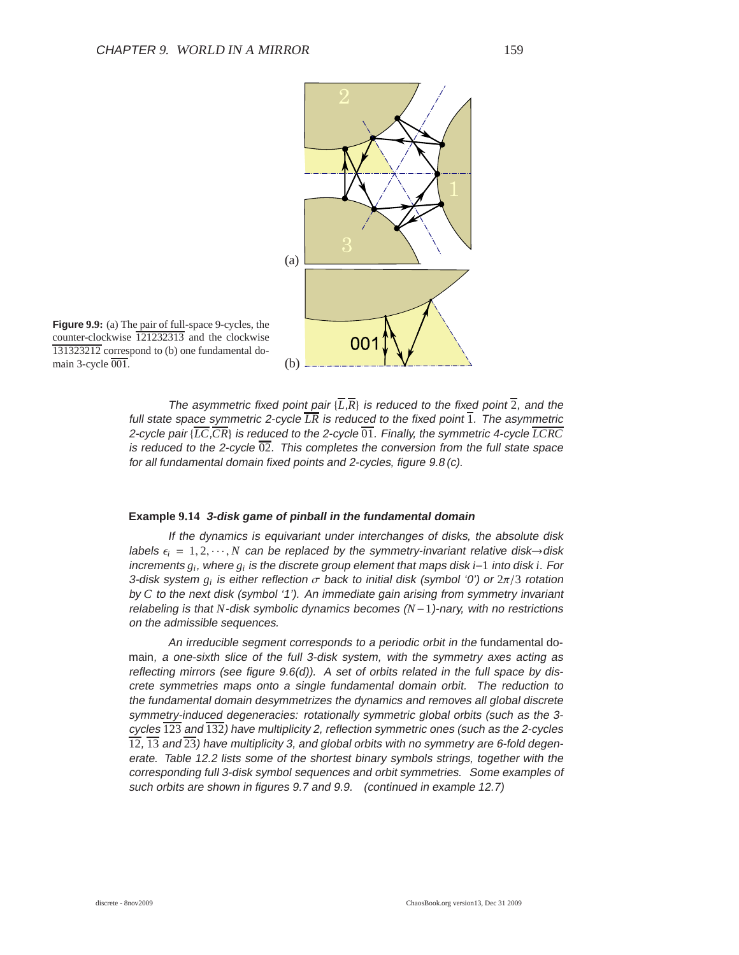

**Figure 9.9:** (a) The pair of full-space 9-cycles, the counter-clockwise 121232313 and the clockwise 131323212 correspond to (b) one fundamental domain 3-cycle 001.

The asymmetric fixed point pair  $\{\overline{L},\overline{R}\}$  is reduced to the fixed point  $\overline{2}$ , and the full state space symmetric 2-cycle  $\overline{LR}$  is reduced to the fixed point  $\overline{1}$ . The asymmetric 2-cycle pair  $\{IC,\overline{CR}\}$  is reduced to the 2-cycle  $\overline{01}$ . Finally, the symmetric 4-cycle  $\overline{LCRC}$ is reduced to the 2-cycle  $\overline{02}$ . This completes the conversion from the full state space for all fundamental domain fixed points and 2-cycles, figure 9.8 (c).

#### **Example 9.14 3-disk game of pinball in the fundamental domain**

If the dynamics is equivariant under interchanges of disks, the absolute disk labels  $\epsilon_i = 1, 2, \dots, N$  can be replaced by the symmetry-invariant relative disk $\rightarrow$ disk increments *g<sup>i</sup>* , where *g<sup>i</sup>* is the discrete group element that maps disk *i*−1 into disk *i*. For 3-disk system  $g_i$  is either reflection  $\sigma$  back to initial disk (symbol '0') or  $2\pi/3$  rotation by *C* to the next disk (symbol '1'). An immediate gain arising from symmetry invariant relabeling is that *N*-disk symbolic dynamics becomes (*N*−1)-nary, with no restrictions on the admissible sequences.

An irreducible segment corresponds to <sup>a</sup> periodic orbit in the fundamental domain, <sup>a</sup> one-sixth slice of the full 3-disk system, with the symmetry axes acting as reflecting mirrors (see figure  $9.6(d)$ ). A set of orbits related in the full space by discrete symmetries maps onto <sup>a</sup> single fundamental domain orbit. The reduction to the fundamental domain desymmetrizes the dynamics and removes all global discrete symmetry-induced degeneracies: rotationally symmetric global orbits (such as the 3 cycles  $\overline{123}$  and  $\overline{132}$ ) have multiplicity 2, reflection symmetric ones (such as the 2-cycles  $\overline{12}$ ,  $\overline{13}$  and  $\overline{23}$ ) have multiplicity 3, and global orbits with no symmetry are 6-fold degenerate. Table 12.2 lists some of the shortest binary symbols strings, together with the corresponding full 3-disk symbol sequences and orbit symmetries. Some examples of such orbits are shown in figures 9.7 and 9.9. (continued in example 12.7)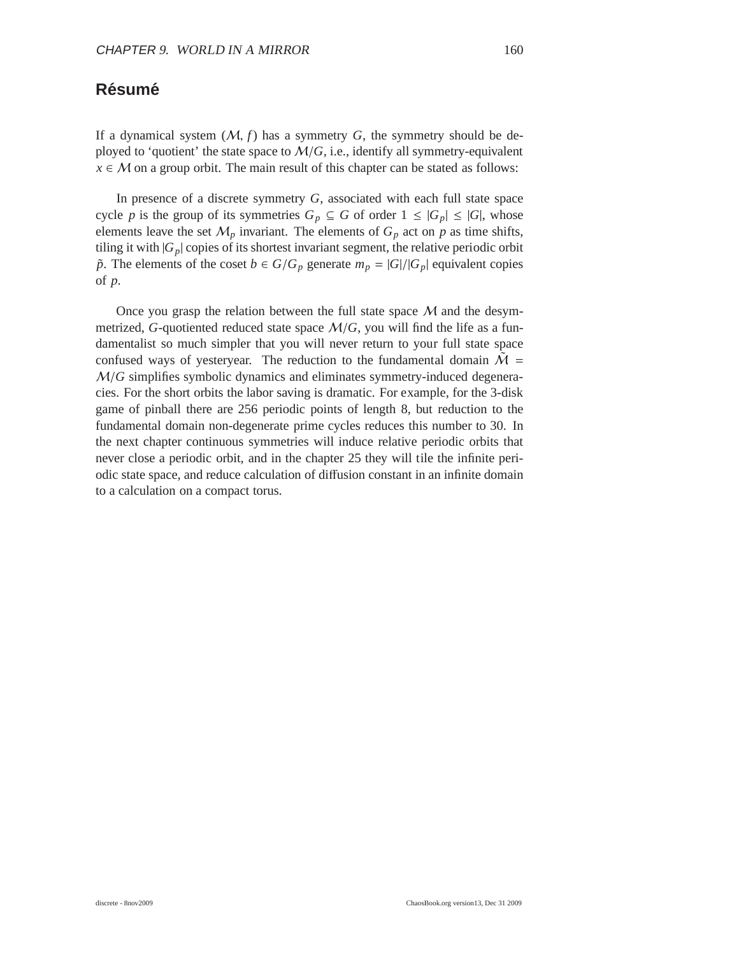## **Resum ´ e´**

If a dynamical system  $(M, f)$  has a symmetry *G*, the symmetry should be deployed to 'quotient' the state space to  $M/G$ , i.e., identify all symmetry-equivalent  $x \in M$  on a group orbit. The main result of this chapter can be stated as follows:

In presence of a discrete symmetry *G*, associated with each full state space cycle *p* is the group of its symmetries  $G_p \subseteq G$  of order  $1 \leq |G_p| \leq |G|$ , whose elements leave the set  $M_p$  invariant. The elements of  $G_p$  act on  $p$  as time shifts, tiling it with  $|G_p|$  copies of its shortest invariant segment, the relative periodic orbit  $\tilde{p}$ . The elements of the coset  $b \in G/G_p$  generate  $m_p = |G|/|G_p|$  equivalent copies of *p*.

Once you grasp the relation between the full state space  $M$  and the desymmetrized,  $G$ -quotiented reduced state space  $\mathcal{M}/G$ , you will find the life as a fundamentalist so much simpler that you will never return to your full state space confused ways of yesteryear. The reduction to the fundamental domain  $\mathcal{\hat{M}} =$ M/*G* simplifies symbolic dynamics and eliminates symmetry-induced degeneracies. For the short orbits the labor saving is dramatic. For example, for the 3-disk game of pinball there are 256 periodic points of length 8, but reduction to the fundamental domain non-degenerate prime cycles reduces this number to 30. In the next chapter continuous symmetries will induce relative periodic orbits that never close a periodic orbit, and in the chapter 25 they will tile the infinite periodic state space, and reduce calculation of diffusion constant in an infinite domain to a calculation on a compact torus.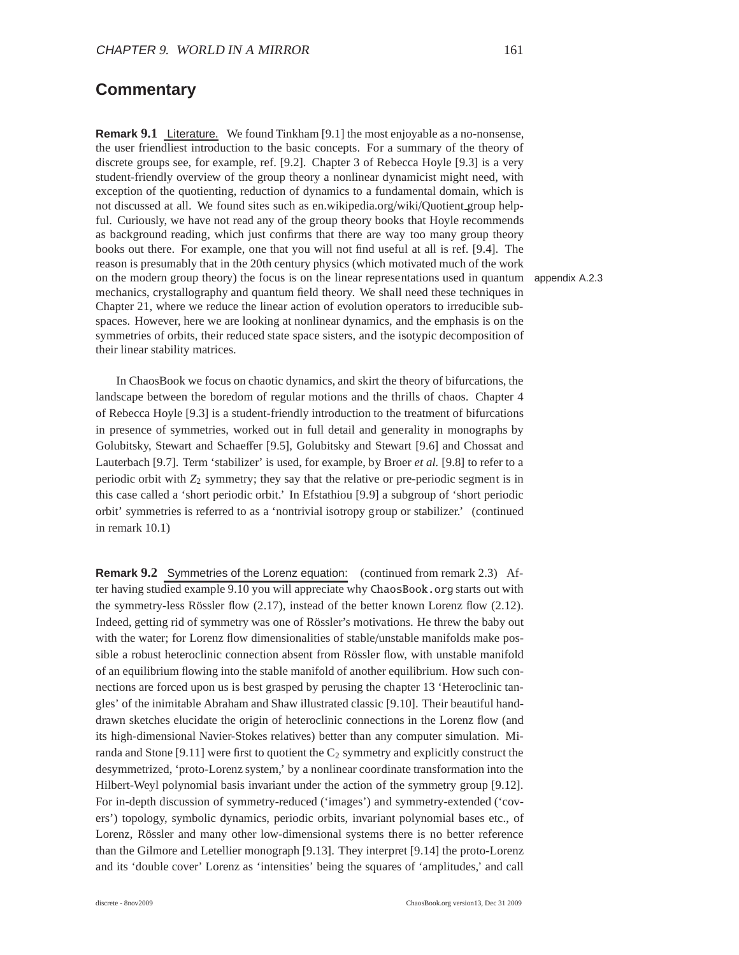### **Commentary**

**Remark 9.1** Literature. We found Tinkham [9.1] the most enjoyable as a no-nonsense, the user friendliest introduction to the basic concepts. For a summary of the theory of discrete groups see, for example, ref. [9.2]. Chapter 3 of Rebecca Hoyle [9.3] is a very student-friendly overview of the group theory a nonlinear dynamicist might need, with exception of the quotienting, reduction of dynamics to a fundamental domain, which is not discussed at all. We found sites such as en.wikipedia.org/wiki/Quotient group helpful. Curiously, we have not read any of the group theory books that Hoyle recommends as background reading, which just confirms that there are way too many group theory books out there. For example, one that you will not find useful at all is ref. [9.4]. The reason is presumably that in the 20th century physics (which motivated much of the work on the modern group theory) the focus is on the linear representations used in quantum appendix A.2.3 mechanics, crystallography and quantum field theory. We shall need these techniques in Chapter 21, where we reduce the linear action of evolution operators to irreducible subspaces. However, here we are looking at nonlinear dynamics, and the emphasis is on the symmetries of orbits, their reduced state space sisters, and the isotypic decomposition of their linear stability matrices.

In ChaosBook we focus on chaotic dynamics, and skirt the theory of bifurcations, the landscape between the boredom of regular motions and the thrills of chaos. Chapter 4 of Rebecca Hoyle [9.3] is a student-friendly introduction to the treatment of bifurcations in presence of symmetries, worked out in full detail and generality in monographs by Golubitsky, Stewart and Schaeffer [9.5], Golubitsky and Stewart [9.6] and Chossat and Lauterbach [9.7]. Term 'stabilizer' is used, for example, by Broer *et al.* [9.8] to refer to a periodic orbit with *Z*<sup>2</sup> symmetry; they say that the relative or pre-periodic segment is in this case called a 'short periodic orbit.' In Efstathiou [9.9] a subgroup of 'short periodic orbit' symmetries is referred to as a 'nontrivial isotropy group or stabilizer.' (continued in remark 10.1)

**Remark 9.2** Symmetries of the Lorenz equation: (continued from remark 2.3) After having studied example 9.10 you will appreciate why ChaosBook.org starts out with the symmetry-less Rössler flow  $(2.17)$ , instead of the better known Lorenz flow  $(2.12)$ . Indeed, getting rid of symmetry was one of Rössler's motivations. He threw the baby out with the water; for Lorenz flow dimensionalities of stable/unstable manifolds make possible a robust heteroclinic connection absent from Rössler flow, with unstable manifold of an equilibrium flowing into the stable manifold of another equilibrium. How such connections are forced upon us is best grasped by perusing the chapter 13 'Heteroclinic tangles' of the inimitable Abraham and Shaw illustrated classic [9.10]. Their beautiful handdrawn sketches elucidate the origin of heteroclinic connections in the Lorenz flow (and its high-dimensional Navier-Stokes relatives) better than any computer simulation. Miranda and Stone [9.11] were first to quotient the  $C_2$  symmetry and explicitly construct the desymmetrized, 'proto-Lorenz system,' by a nonlinear coordinate transformation into the Hilbert-Weyl polynomial basis invariant under the action of the symmetry group [9.12]. For in-depth discussion of symmetry-reduced ('images') and symmetry-extended ('covers') topology, symbolic dynamics, periodic orbits, invariant polynomial bases etc., of Lorenz, Rössler and many other low-dimensional systems there is no better reference than the Gilmore and Letellier monograph [9.13]. They interpret [9.14] the proto-Lorenz and its 'double cover' Lorenz as 'intensities' being the squares of 'amplitudes,' and call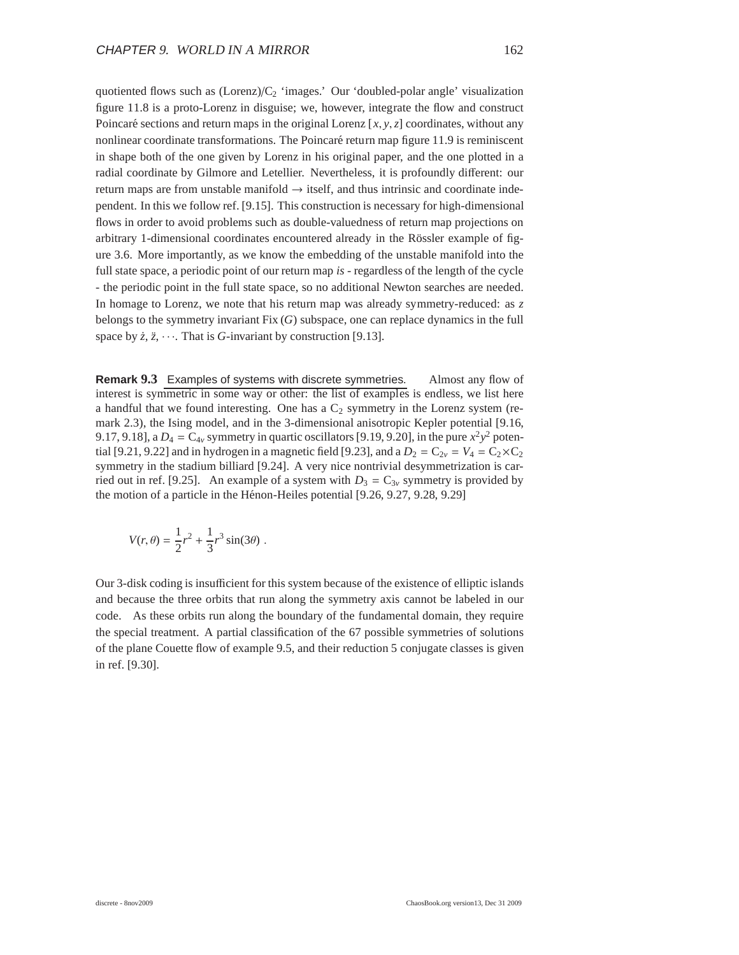quotiented flows such as  $(Lorenz)/C<sub>2</sub>$  'images.' Our 'doubled-polar angle' visualization figure 11.8 is a proto-Lorenz in disguise; we, however, integrate the flow and construct Poincaré sections and return maps in the original Lorenz  $[x, y, z]$  coordinates, without any nonlinear coordinate transformations. The Poincaré return map figure 11.9 is reminiscent in shape both of the one given by Lorenz in his original paper, and the one plotted in a radial coordinate by Gilmore and Letellier. Nevertheless, it is profoundly different: our return maps are from unstable manifold  $\rightarrow$  itself, and thus intrinsic and coordinate independent. In this we follow ref. [9.15]. This construction is necessary for high-dimensional flows in order to avoid problems such as double-valuedness of return map projections on arbitrary 1-dimensional coordinates encountered already in the Rössler example of figure 3.6. More importantly, as we know the embedding of the unstable manifold into the full state space, a periodic point of our return map *is* - regardless of the length of the cycle - the periodic point in the full state space, so no additional Newton searches are needed. In homage to Lorenz, we note that his return map was already symmetry-reduced: as *z* belongs to the symmetry invariant Fix (*G*) subspace, one can replace dynamics in the full space by  $\dot{z}$ ,  $\ddot{z}$ ,  $\cdots$ . That is *G*-invariant by construction [9.13].

**Remark 9.3** Examples of systems with discrete symmetries. Almost any flow of interest is symmetric in some way or other: the list of examples is endless, we list here a handful that we found interesting. One has a  $C_2$  symmetry in the Lorenz system (remark 2.3), the Ising model, and in the 3-dimensional anisotropic Kepler potential [9.16, 9.17, 9.18], a  $D_4 = C_{4v}$  symmetry in quartic oscillators [9.19, 9.20], in the pure  $x^2y^2$  potential [9.21, 9.22] and in hydrogen in a magnetic field [9.23], and a  $D_2 = C_{2v} = V_4 = C_2 \times C_2$ symmetry in the stadium billiard [9.24]. A very nice nontrivial desymmetrization is carried out in ref. [9.25]. An example of a system with  $D_3 = C_{3\nu}$  symmetry is provided by the motion of a particle in the Hénon-Heiles potential [9.26, 9.27, 9.28, 9.29]

$$
V(r,\theta) = \frac{1}{2}r^2 + \frac{1}{3}r^3\sin(3\theta) \; .
$$

Our 3-disk coding is insufficient for this system because of the existence of elliptic islands and because the three orbits that run along the symmetry axis cannot be labeled in our code. As these orbits run along the boundary of the fundamental domain, they require the special treatment. A partial classification of the 67 possible symmetries of solutions of the plane Couette flow of example 9.5, and their reduction 5 conjugate classes is given in ref. [9.30].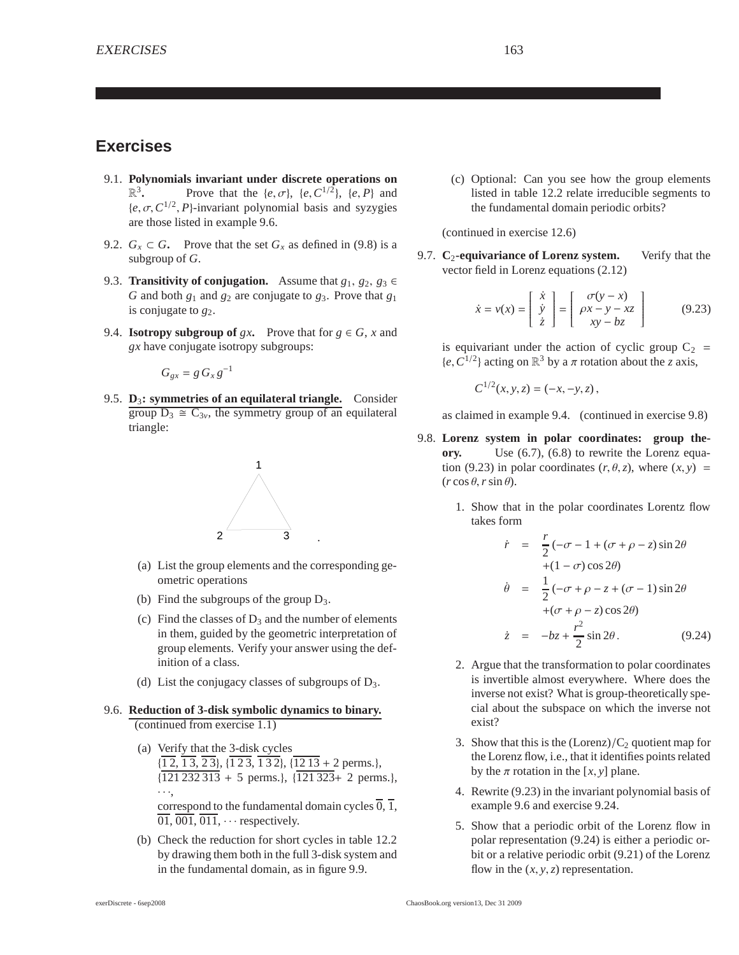## **Exercises**

- 9.1. **Polynomials invariant under discrete operations on**  $\mathbb{R}^3$ **.** Prove that the  $\{e, \sigma\}$ ,  $\{e, C^{1/2}\}$ ,  $\{e, P\}$  and  $\{e, \sigma, C^{1/2}, P\}$ -invariant polynomial basis and syzygies are those listed in example 9.6.
- 9.2.  $G_x \subset G$ . Prove that the set  $G_x$  as defined in (9.8) is a subgroup of *G*.
- 9.3. **Transitivity of conjugation.** Assume that  $g_1, g_2, g_3 \in$ *G* and both *g*<sup>1</sup> and *g*<sup>2</sup> are conjugate to *g*3. Prove that *g*<sup>1</sup> is conjugate to  $g_2$ .
- 9.4. **Isotropy subgroup of**  $gx$ . Prove that for  $g \in G$ , *x* and *gx* have conjugate isotropy subgroups:

$$
G_{gx} = g G_x g^{-1}
$$

9.5. **D**3**: symmetries of an equilateral triangle.** Consider group  $D_3 \cong C_{3\nu}$ , the symmetry group of an equilateral triangle:



- (a) List the group elements and the corresponding geometric operations
- (b) Find the subgroups of the group  $D_3$ .
- (c) Find the classes of  $D_3$  and the number of elements in them, guided by the geometric interpretation of group elements. Verify your answer using the definition of a class.
- (d) List the conjugacy classes of subgroups of  $D_3$ .

#### 9.6. **Reduction of 3-disk symbolic dynamics to binary.** (continued from exercise 1.1)

01, 001, 011,  $\cdots$  respectively.

- (a) Verify that the 3-disk cycles  $\{1\overline{2},\overline{13},\overline{23}\}, \{\overline{123},\overline{132}\}, \{\overline{1213}+2 \text{ perms.}\},\}$  $\{121\,232\,313 + 5 \text{ perms.}\}, \{121\,323 + 2 \text{ perms.}\},\$ · · ·, correspond to the fundamental domain cycles  $\overline{0}$ ,  $\overline{1}$ ,
- (b) Check the reduction for short cycles in table 12.2 by drawing them both in the full 3-disk system and in the fundamental domain, as in figure 9.9.

(c) Optional: Can you see how the group elements listed in table 12.2 relate irreducible segments to the fundamental domain periodic orbits?

(continued in exercise 12.6)

9.7. **C**2**-equivariance of Lorenz system.** Verify that the vector field in Lorenz equations (2.12)

$$
\dot{x} = v(x) = \begin{bmatrix} \dot{x} \\ \dot{y} \\ \dot{z} \end{bmatrix} = \begin{bmatrix} \sigma(y - x) \\ \rho x - y - xz \\ xy - bz \end{bmatrix}
$$
(9.23)

is equivariant under the action of cyclic group  $C_2$  =  $\{e, C^{1/2}\}\$ acting on  $\mathbb{R}^3$  by a  $\pi$  rotation about the *z* axis,

$$
C^{1/2}(x, y, z) = (-x, -y, z),
$$

as claimed in example 9.4. (continued in exercise 9.8)

- 9.8. **Lorenz system in polar coordinates: group the**ory. Use  $(6.7)$ ,  $(6.8)$  to rewrite the Lorenz equation (9.23) in polar coordinates  $(r, \theta, z)$ , where  $(x, y)$  =  $(r \cos \theta, r \sin \theta)$ .
	- 1. Show that in the polar coordinates Lorentz flow takes form

$$
\dot{r} = \frac{r}{2}(-\sigma - 1 + (\sigma + \rho - z)\sin 2\theta
$$
  
+ (1 - \sigma)\cos 2\theta)  

$$
\dot{\theta} = \frac{1}{2}(-\sigma + \rho - z + (\sigma - 1)\sin 2\theta
$$
  
+ (\sigma + \rho - z)\cos 2\theta)  

$$
\dot{z} = -bz + \frac{r^2}{2}\sin 2\theta.
$$
 (9.24)

- 2. Argue that the transformation to polar coordinates is invertible almost everywhere. Where does the inverse not exist? What is group-theoretically special about the subspace on which the inverse not exist?
- 3. Show that this is the  $(Lorenz)/C_2$  quotient map for the Lorenz flow, i.e., that it identifies points related by the  $\pi$  rotation in the [x, y] plane.
- 4. Rewrite (9.23) in the invariant polynomial basis of example 9.6 and exercise 9.24.
- 5. Show that a periodic orbit of the Lorenz flow in polar representation (9.24) is either a periodic orbit or a relative periodic orbit (9.21) of the Lorenz flow in the  $(x, y, z)$  representation.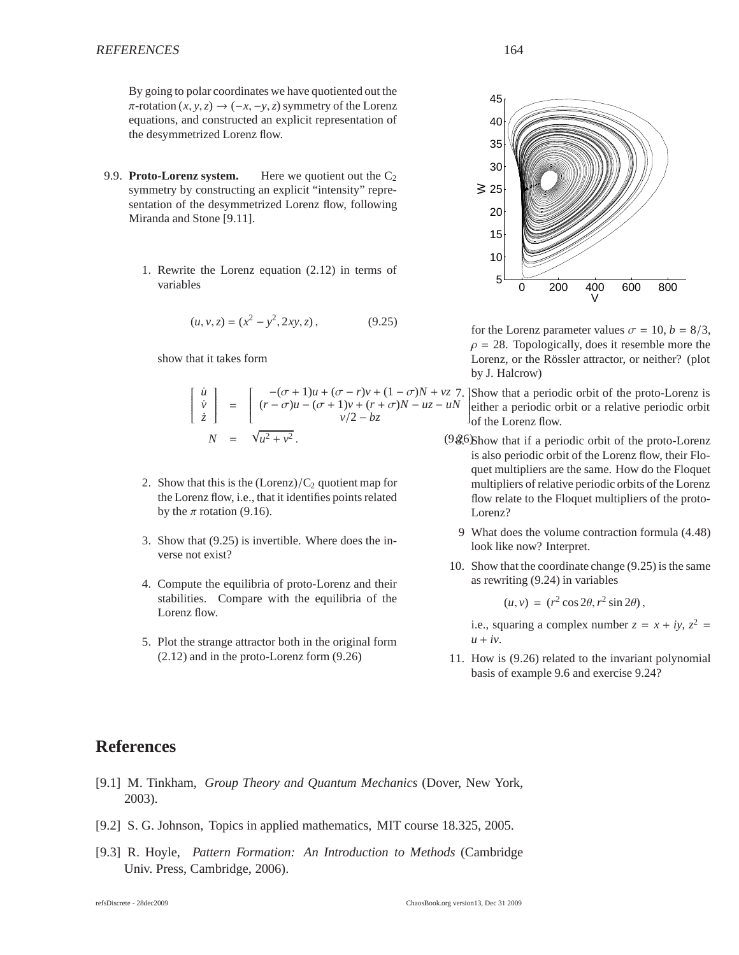By going to polar coordinates we have quotiented out the  $\pi$ -rotation  $(x, y, z) \rightarrow (-x, -y, z)$  symmetry of the Lorenz equations, and constructed an explicit representation of the desymmetrized Lorenz flow.

- 9.9. **Proto-Lorenz system.** Here we quotient out the  $C_2$ symmetry by constructing an explicit "intensity" representation of the desymmetrized Lorenz flow, following Miranda and Stone [9.11].
	- 1. Rewrite the Lorenz equation (2.12) in terms of variables

$$
(u, v, z) = (x2 - y2, 2xy, z), \t(9.25)
$$

show that it takes form

$$
\begin{bmatrix}\n\dot{u} \\
\dot{v} \\
\dot{z}\n\end{bmatrix} = \begin{bmatrix}\n-(\sigma + 1)u + (\sigma - r)v + (1 - \sigma)N + vz 7, \\
(r - \sigma)u - (\sigma + 1)v + (r + \sigma)N - uz - uN \\
v/2 - bz\n\end{bmatrix}
$$
\n
$$
N = \sqrt{u^2 + v^2}. \qquad (9.86)
$$

- 2. Show that this is the  $(Lorenz)/C_2$  quotient map for the Lorenz flow, i.e., that it identifies points related by the  $\pi$  rotation (9.16).
- 3. Show that (9.25) is invertible. Where does the inverse not exist?
- 4. Compute the equilibria of proto-Lorenz and their stabilities. Compare with the equilibria of the Lorenz flow.
- 5. Plot the strange attractor both in the original form (2.12) and in the proto-Lorenz form (9.26)



for the Lorenz parameter values  $\sigma = 10$ ,  $b = 8/3$ ,  $\rho = 28$ . Topologically, does it resemble more the Lorenz, or the Rössler attractor, or neither? (plot by J. Halcrow)

- 7. Show that a periodic orbit of the proto-Lorenz is  $\overline{\phantom{a}}$ either a periodic orbit or a relative periodic orbit of the Lorenz flow.
- 2.6 Show that if a periodic orbit of the proto-Lorenz is also periodic orbit of the Lorenz flow, their Floquet multipliers are the same. How do the Floquet multipliers of relative periodic orbits of the Lorenz flow relate to the Floquet multipliers of the proto-Lorenz?
	- 9 What does the volume contraction formula (4.48) look like now? Interpret.
- 10. Show that the coordinate change (9.25) is the same as rewriting (9.24) in variables

$$
(u, v) = (r^2 \cos 2\theta, r^2 \sin 2\theta),
$$

i.e., squaring a complex number  $z = x + iy$ ,  $z^2 =$  $u + iv.$ 

11. How is (9.26) related to the invariant polynomial basis of example 9.6 and exercise 9.24?

## **References**

- [9.1] M. Tinkham, *Group Theory and Quantum Mechanics* (Dover, New York, 2003).
- [9.2] S. G. Johnson, Topics in applied mathematics, MIT course 18.325, 2005.
- [9.3] R. Hoyle, *Pattern Formation: An Introduction to Methods* (Cambridge Univ. Press, Cambridge, 2006).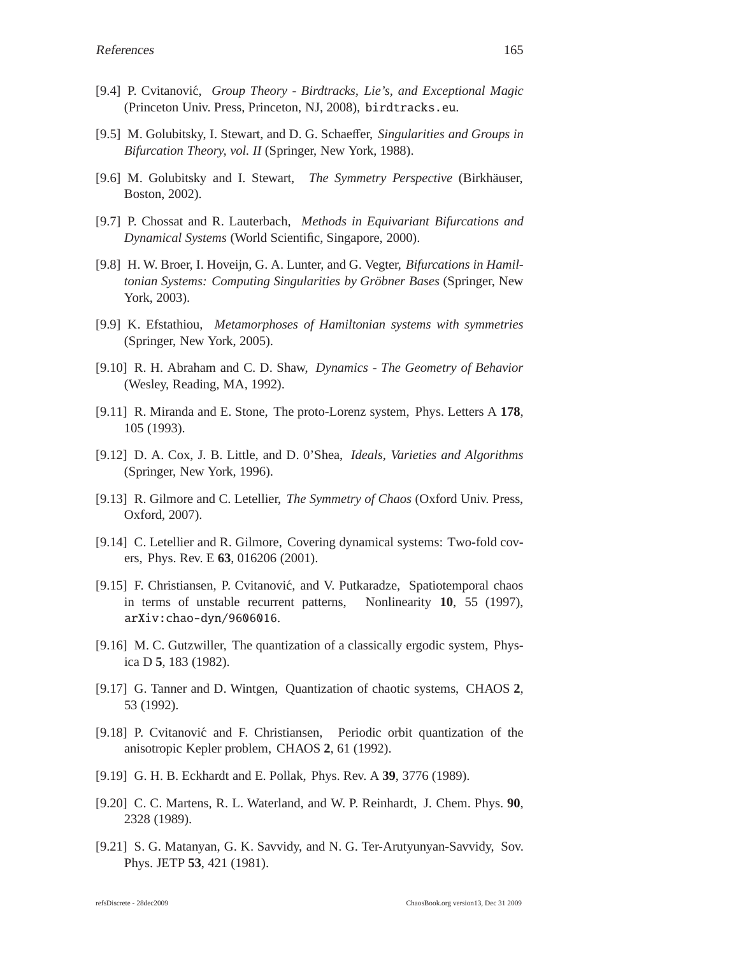- [9.4] P. Cvitanović, *Group Theory Birdtracks, Lie's, and Exceptional Magic* (Princeton Univ. Press, Princeton, NJ, 2008), birdtracks.eu.
- [9.5] M. Golubitsky, I. Stewart, and D. G. Schaeffer, *Singularities and Groups in Bifurcation Theory, vol. II* (Springer, New York, 1988).
- [9.6] M. Golubitsky and I. Stewart, *The Symmetry Perspective* (Birkhäuser, Boston, 2002).
- [9.7] P. Chossat and R. Lauterbach, *Methods in Equivariant Bifurcations and Dynamical Systems* (World Scientific, Singapore, 2000).
- [9.8] H. W. Broer, I. Hoveijn, G. A. Lunter, and G. Vegter, *Bifurcations in Hamiltonian Systems: Computing Singularities by Gröbner Bases* (Springer, New York, 2003).
- [9.9] K. Efstathiou, *Metamorphoses of Hamiltonian systems with symmetries* (Springer, New York, 2005).
- [9.10] R. H. Abraham and C. D. Shaw, *Dynamics The Geometry of Behavior* (Wesley, Reading, MA, 1992).
- [9.11] R. Miranda and E. Stone, The proto-Lorenz system, Phys. Letters A **178**, 105 (1993).
- [9.12] D. A. Cox, J. B. Little, and D. 0'Shea, *Ideals, Varieties and Algorithms* (Springer, New York, 1996).
- [9.13] R. Gilmore and C. Letellier, *The Symmetry of Chaos* (Oxford Univ. Press, Oxford, 2007).
- [9.14] C. Letellier and R. Gilmore, Covering dynamical systems: Two-fold covers, Phys. Rev. E **63**, 016206 (2001).
- [9.15] F. Christiansen, P. Cvitanović, and V. Putkaradze, Spatiotemporal chaos in terms of unstable recurrent patterns, Nonlinearity **10**, 55 (1997), arXiv:chao-dyn/9606016.
- [9.16] M. C. Gutzwiller, The quantization of a classically ergodic system, Physica D **5**, 183 (1982).
- [9.17] G. Tanner and D. Wintgen, Quantization of chaotic systems, CHAOS **2**, 53 (1992).
- [9.18] P. Cvitanović and F. Christiansen, Periodic orbit quantization of the anisotropic Kepler problem, CHAOS **2**, 61 (1992).
- [9.19] G. H. B. Eckhardt and E. Pollak, Phys. Rev. A **39**, 3776 (1989).
- [9.20] C. C. Martens, R. L. Waterland, and W. P. Reinhardt, J. Chem. Phys. **90**, 2328 (1989).
- [9.21] S. G. Matanyan, G. K. Savvidy, and N. G. Ter-Arutyunyan-Savvidy, Sov. Phys. JETP **53**, 421 (1981).